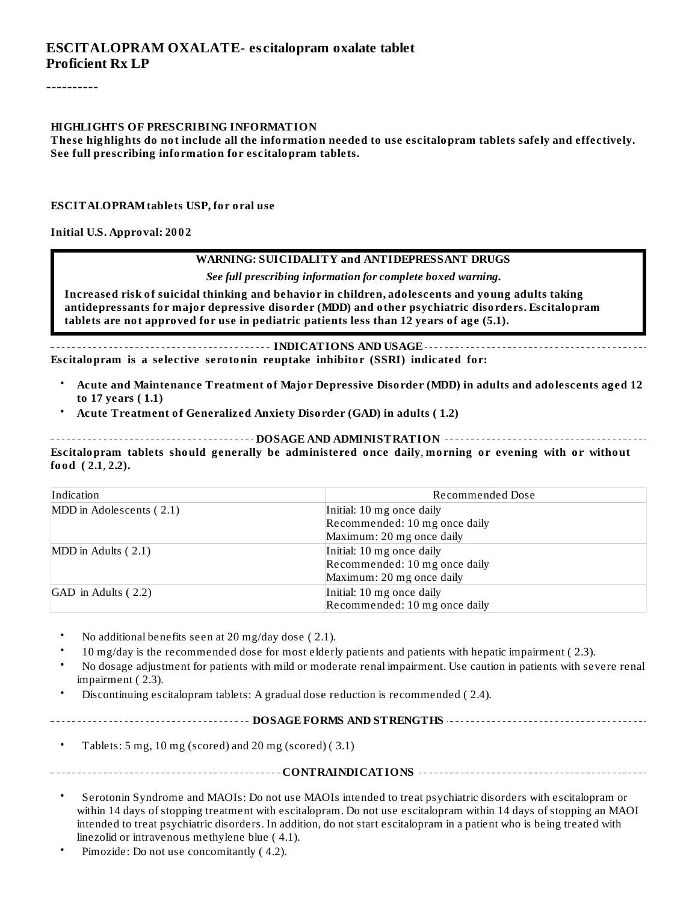----------

#### **HIGHLIGHTS OF PRESCRIBING INFORMATION**

**These highlights do not include all the information needed to use escitalopram tablets safely and effectively. See full prescribing information for escitalopram tablets.**

#### **ESCITALOPRAMtablets USP, for oral use**

**Initial U.S. Approval: 2002**

#### **WARNING: SUICIDALITY and ANTIDEPRESSANT DRUGS**

*See full prescribing information for complete boxed warning.*

**Increased risk of suicidal thinking and behavior in children, adolescents and young adults taking antidepressants for major depressive disorder (MDD) and other psychiatric disorders. Escitalopram tablets are not approved for use in pediatric patients less than 12 years of age (5.1).**

**INDICATIONS AND USAGE Escitalopram is a selective serotonin reuptake inhibitor (SSRI) indicated for:**

- **Acute and Maintenance Treatment of Major Depressive Disorder (MDD) in adults and adolescents aged 12 to 17 years ( 1.1)**
- **Acute Treatment of Generalized Anxiety Disorder (GAD) in adults ( 1.2)**

**DOSAGE AND ADMINISTRATION Escitalopram tablets should generally be administered once daily**, **morning or evening with or without food ( 2.1**, **2.2).**

| Indication               | Recommended Dose              |  |
|--------------------------|-------------------------------|--|
| MDD in Adolescents (2.1) | Initial: 10 mg once daily     |  |
|                          | Recommended: 10 mg once daily |  |
|                          | Maximum: 20 mg once daily     |  |
| MDD in Adults (2.1)      | Initial: 10 mg once daily     |  |
|                          | Recommended: 10 mg once daily |  |
|                          | Maximum: 20 mg once daily     |  |
| $GAD$ in Adults $(2.2)$  | Initial: 10 mg once daily     |  |
|                          | Recommended: 10 mg once daily |  |

- No additional benefits seen at 20 mg/day dose ( 2.1).
- 10 mg/day is the recommended dose for most elderly patients and patients with hepatic impairment ( 2.3).
- No dosage adjustment for patients with mild or moderate renal impairment. Use caution in patients with severe renal impairment ( 2.3).
- Discontinuing escitalopram tablets: A gradual dose reduction is recommended ( 2.4).

• Tablets: 5 mg, 10 mg (scored) and 20 mg (scored) ( 3.1)

#### **CONTRAINDICATIONS**

- Serotonin Syndrome and MAOIs: Do not use MAOIs intended to treat psychiatric disorders with escitalopram or within 14 days of stopping treatment with escitalopram. Do not use escitalopram within 14 days of stopping an MAOI intended to treat psychiatric disorders. In addition, do not start escitalopram in a patient who is being treated with linezolid or intravenous methylene blue ( 4.1).
- Pimozide: Do not use concomitantly ( 4.2).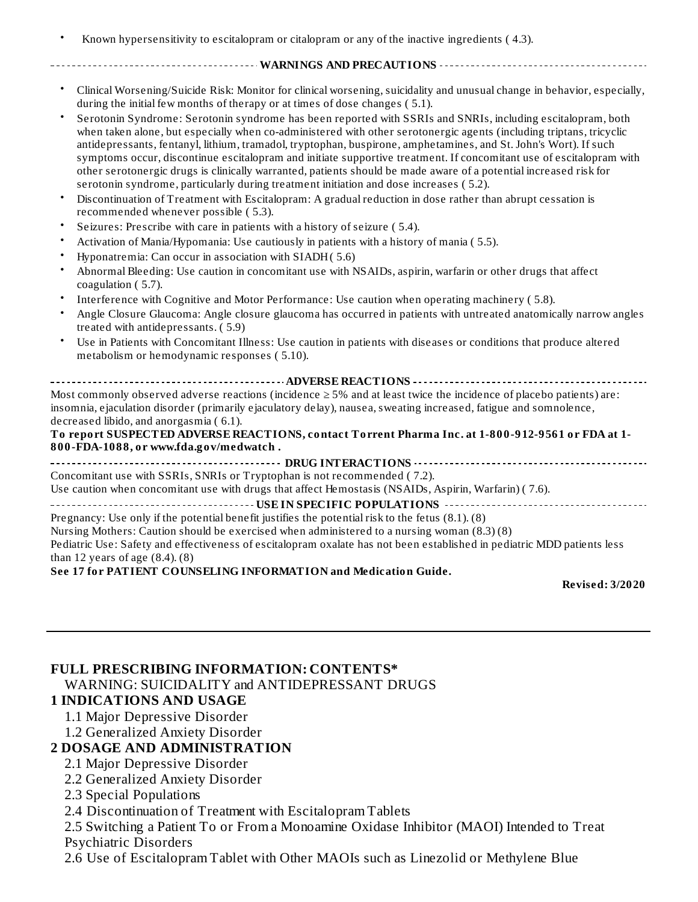• Known hypersensitivity to escitalopram or citalopram or any of the inactive ingredients ( 4.3).

**WARNINGS AND PRECAUTIONS**

- Clinical Worsening/Suicide Risk: Monitor for clinical worsening, suicidality and unusual change in behavior, especially, during the initial few months of therapy or at times of dose changes ( 5.1).
- Serotonin Syndrome: Serotonin syndrome has been reported with SSRIs and SNRIs, including escitalopram, both when taken alone, but especially when co-administered with other serotonergic agents (including triptans, tricyclic antidepressants, fentanyl, lithium, tramadol, tryptophan, buspirone, amphetamines, and St. John's Wort). If such symptoms occur, discontinue escitalopram and initiate supportive treatment. If concomitant use of escitalopram with other serotonergic drugs is clinically warranted, patients should be made aware of a potential increased risk for serotonin syndrome, particularly during treatment initiation and dose increases ( 5.2).
- Discontinuation of Treatment with Escitalopram: A gradual reduction in dose rather than abrupt cessation is recommended whenever possible ( 5.3).
- Seizures: Prescribe with care in patients with a history of seizure ( 5.4).
- Activation of Mania/Hypomania: Use cautiously in patients with a history of mania ( 5.5).
- Hyponatremia: Can occur in association with SIADH( 5.6)
- Abnormal Bleeding: Use caution in concomitant use with NSAIDs, aspirin, warfarin or other drugs that affect coagulation ( 5.7).
- Interference with Cognitive and Motor Performance: Use caution when operating machinery ( 5.8).
- Angle Closure Glaucoma: Angle closure glaucoma has occurred in patients with untreated anatomically narrow angles treated with antidepressants. ( 5.9)
- Use in Patients with Concomitant Illness: Use caution in patients with diseases or conditions that produce altered metabolism or hemodynamic responses ( 5.10).

**ADVERSE REACTIONS** Most commonly observed adverse reactions (incidence  $\geq$  5% and at least twice the incidence of placebo patients) are: insomnia, ejaculation disorder (primarily ejaculatory delay), nausea, sweating increased, fatigue and somnolence, decreased libido, and anorgasmia ( 6.1). **To report SUSPECTED ADVERSE REACTIONS, contact Torrent Pharma Inc. at 1-800-912-9561 or FDA at 1-**

**800-FDA-1088, or www.fda.gov/medwatch .**

**DRUG INTERACTIONS** Concomitant use with SSRIs, SNRIs or Tryptophan is not recommended ( 7.2).

Use caution when concomitant use with drugs that affect Hemostasis (NSAIDs, Aspirin, Warfarin) ( 7.6).

**USE IN SPECIFIC POPULATIONS**

Pregnancy: Use only if the potential benefit justifies the potential risk to the fetus (8.1). (8) Nursing Mothers: Caution should be exercised when administered to a nursing woman (8.3) (8)

Pediatric Use: Safety and effectiveness of escitalopram oxalate has not been established in pediatric MDD patients less than 12 years of age (8.4). (8)

**See 17 for PATIENT COUNSELING INFORMATION and Medication Guide.**

**Revised: 3/2020**

#### **FULL PRESCRIBING INFORMATION: CONTENTS\***

WARNING: SUICIDALITY and ANTIDEPRESSANT DRUGS

#### **1 INDICATIONS AND USAGE**

- 1.1 Major Depressive Disorder
- 1.2 Generalized Anxiety Disorder

#### **2 DOSAGE AND ADMINISTRATION**

- 2.1 Major Depressive Disorder
- 2.2 Generalized Anxiety Disorder
- 2.3 Special Populations
- 2.4 Discontinuation of Treatment with Escitalopram Tablets

2.5 Switching a Patient To or From a Monoamine Oxidase Inhibitor (MAOI) Intended to Treat Psychiatric Disorders

2.6 Use of Escitalopram Tablet with Other MAOIs such as Linezolid or Methylene Blue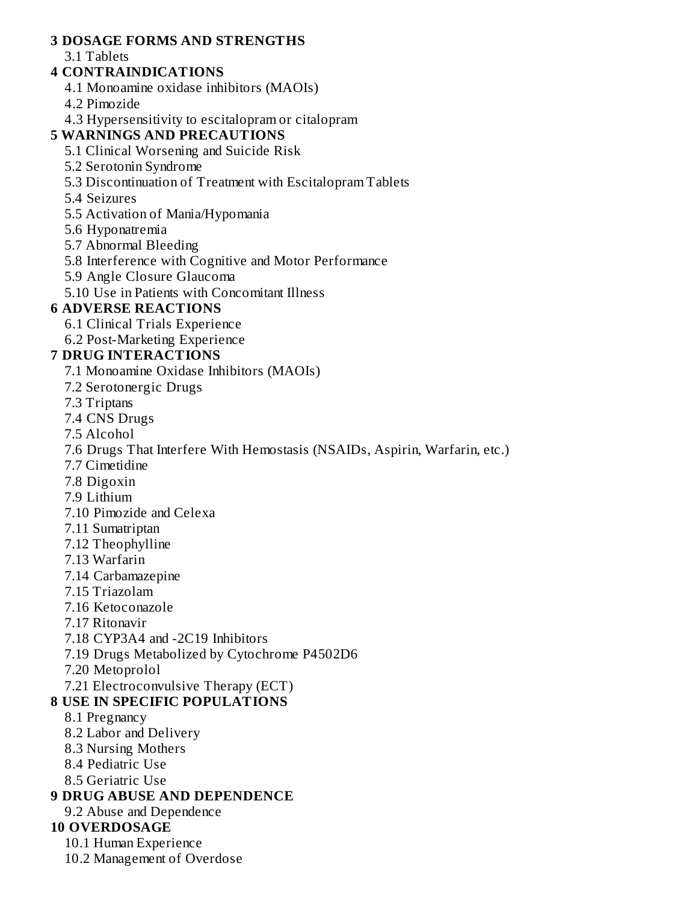# **3 DOSAGE FORMS AND STRENGTHS**

#### 3.1 Tablets

### **4 CONTRAINDICATIONS**

- 4.1 Monoamine oxidase inhibitors (MAOIs)
- 4.2 Pimozide
- 4.3 Hypersensitivity to escitalopram or citalopram

# **5 WARNINGS AND PRECAUTIONS**

- 5.1 Clinical Worsening and Suicide Risk
- 5.2 Serotonin Syndrome
- 5.3 Discontinuation of Treatment with Escitalopram Tablets
- 5.4 Seizures
- 5.5 Activation of Mania/Hypomania
- 5.6 Hyponatremia
- 5.7 Abnormal Bleeding
- 5.8 Interference with Cognitive and Motor Performance
- 5.9 Angle Closure Glaucoma
- 5.10 Use in Patients with Concomitant Illness

#### **6 ADVERSE REACTIONS**

- 6.1 Clinical Trials Experience
- 6.2 Post-Marketing Experience

#### **7 DRUG INTERACTIONS**

- 7.1 Monoamine Oxidase Inhibitors (MAOIs)
- 7.2 Serotonergic Drugs
- 7.3 Triptans
- 7.4 CNS Drugs
- 7.5 Alcohol
- 7.6 Drugs That Interfere With Hemostasis (NSAIDs, Aspirin, Warfarin, etc.)
- 7.7 Cimetidine
- 7.8 Digoxin
- 7.9 Lithium
- 7.10 Pimozide and Celexa
- 7.11 Sumatriptan
- 7.12 Theophylline
- 7.13 Warfarin
- 7.14 Carbamazepine
- 7.15 Triazolam
- 7.16 Ketoconazole
- 7.17 Ritonavir
- 7.18 CYP3A4 and -2C19 Inhibitors
- 7.19 Drugs Metabolized by Cytochrome P4502D6
- 7.20 Metoprolol
- 7.21 Electroconvulsive Therapy (ECT)

# **8 USE IN SPECIFIC POPULATIONS**

- 8.1 Pregnancy
- 8.2 Labor and Delivery
- 8.3 Nursing Mothers
- 8.4 Pediatric Use
- 8.5 Geriatric Use

#### **9 DRUG ABUSE AND DEPENDENCE**

9.2 Abuse and Dependence

# **10 OVERDOSAGE**

- 10.1 Human Experience
- 10.2 Management of Overdose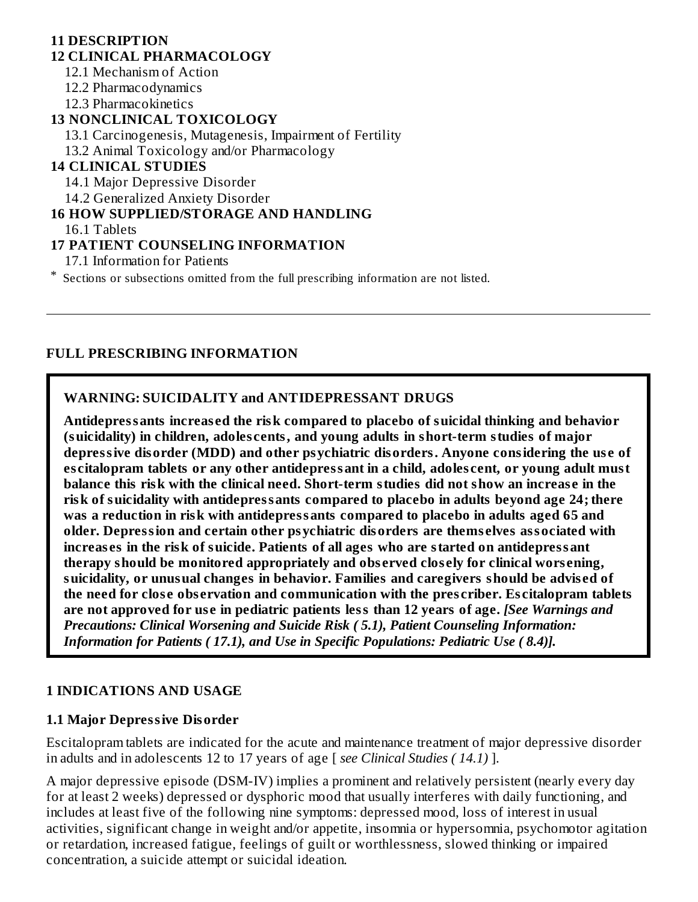### **11 DESCRIPTION**

#### **12 CLINICAL PHARMACOLOGY**

12.1 Mechanism of Action

12.2 Pharmacodynamics

12.3 Pharmacokinetics

#### **13 NONCLINICAL TOXICOLOGY**

13.1 Carcinogenesis, Mutagenesis, Impairment of Fertility

13.2 Animal Toxicology and/or Pharmacology

#### **14 CLINICAL STUDIES**

14.1 Major Depressive Disorder

14.2 Generalized Anxiety Disorder

# **16 HOW SUPPLIED/STORAGE AND HANDLING**

16.1 Tablets

#### **17 PATIENT COUNSELING INFORMATION**

#### 17.1 Information for Patients

\* Sections or subsections omitted from the full prescribing information are not listed.

### **FULL PRESCRIBING INFORMATION**

# **WARNING: SUICIDALITY and ANTIDEPRESSANT DRUGS**

**Antidepressants increas ed the risk compared to placebo of suicidal thinking and behavior (suicidality) in children, adoles cents, and young adults in short-term studies of major depressive disorder (MDD) and other psychiatric disorders. Anyone considering the us e of es citalopram tablets or any other antidepressant in a child, adoles cent, or young adult must balance this risk with the clinical need. Short-term studies did not show an increas e in the risk of suicidality with antidepressants compared to placebo in adults beyond age 24; there was a reduction in risk with antidepressants compared to placebo in adults aged 65 and older. Depression and certain other psychiatric disorders are thems elves associated with increas es in the risk of suicide. Patients of all ages who are started on antidepressant therapy should be monitored appropriately and obs erved clos ely for clinical wors ening, suicidality, or unusual changes in behavior. Families and caregivers should be advis ed of the need for clos e obs ervation and communication with the pres criber. Es citalopram tablets are not approved for us e in pediatric patients less than 12 years of age.** *[See Warnings and Precautions: Clinical Worsening and Suicide Risk ( 5.1), Patient Counseling Information: Information for Patients ( 17.1), and Use in Specific Populations: Pediatric Use ( 8.4)].*

#### **1 INDICATIONS AND USAGE**

#### **1.1 Major Depressive Disorder**

Escitalopram tablets are indicated for the acute and maintenance treatment of major depressive disorder in adults and in adolescents 12 to 17 years of age [ *see Clinical Studies ( 14.1)* ].

A major depressive episode (DSM-IV) implies a prominent and relatively persistent (nearly every day for at least 2 weeks) depressed or dysphoric mood that usually interferes with daily functioning, and includes at least five of the following nine symptoms: depressed mood, loss of interest in usual activities, significant change in weight and/or appetite, insomnia or hypersomnia, psychomotor agitation or retardation, increased fatigue, feelings of guilt or worthlessness, slowed thinking or impaired concentration, a suicide attempt or suicidal ideation.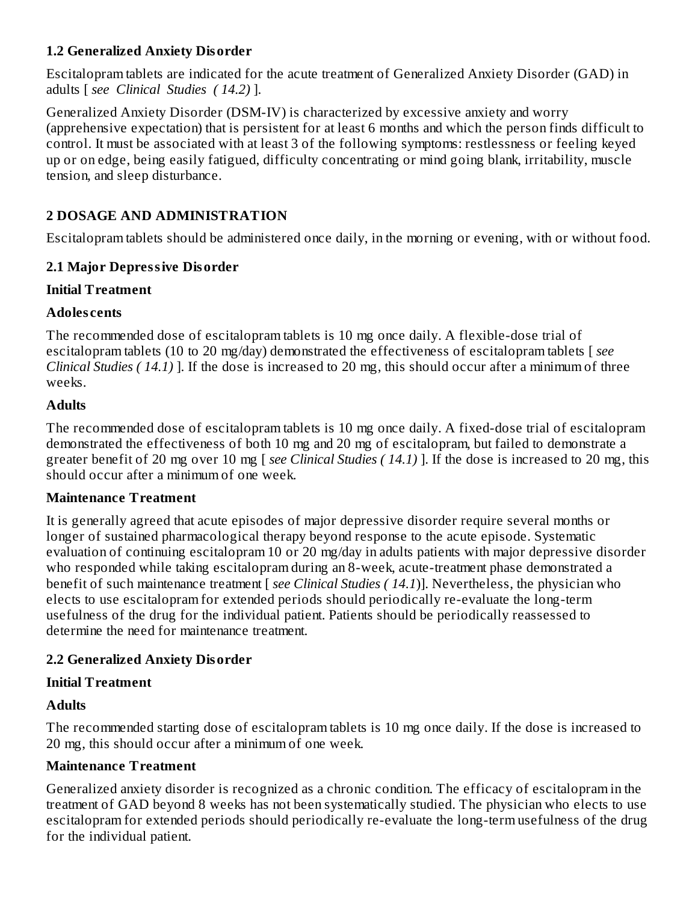### **1.2 Generalized Anxiety Disorder**

Escitalopram tablets are indicated for the acute treatment of Generalized Anxiety Disorder (GAD) in adults [ *see Clinical Studies ( 14.2)* ].

Generalized Anxiety Disorder (DSM-IV) is characterized by excessive anxiety and worry (apprehensive expectation) that is persistent for at least 6 months and which the person finds difficult to control. It must be associated with at least 3 of the following symptoms: restlessness or feeling keyed up or on edge, being easily fatigued, difficulty concentrating or mind going blank, irritability, muscle tension, and sleep disturbance.

# **2 DOSAGE AND ADMINISTRATION**

Escitalopram tablets should be administered once daily, in the morning or evening, with or without food.

#### **2.1 Major Depressive Disorder**

#### **Initial Treatment**

#### **Adoles cents**

The recommended dose of escitalopram tablets is 10 mg once daily. A flexible-dose trial of escitalopram tablets (10 to 20 mg/day) demonstrated the effectiveness of escitalopram tablets [ *see Clinical Studies ( 14.1)* ]. If the dose is increased to 20 mg, this should occur after a minimum of three weeks.

#### **Adults**

The recommended dose of escitalopram tablets is 10 mg once daily. A fixed-dose trial of escitalopram demonstrated the effectiveness of both 10 mg and 20 mg of escitalopram, but failed to demonstrate a greater benefit of 20 mg over 10 mg [ *see Clinical Studies ( 14.1)* ]. If the dose is increased to 20 mg, this should occur after a minimum of one week.

#### **Maintenance Treatment**

It is generally agreed that acute episodes of major depressive disorder require several months or longer of sustained pharmacological therapy beyond response to the acute episode. Systematic evaluation of continuing escitalopram 10 or 20 mg/day in adults patients with major depressive disorder who responded while taking escitalopram during an 8-week, acute-treatment phase demonstrated a benefit of such maintenance treatment [ *see Clinical Studies ( 14.1*)]. Nevertheless, the physician who elects to use escitalopram for extended periods should periodically re-evaluate the long-term usefulness of the drug for the individual patient. Patients should be periodically reassessed to determine the need for maintenance treatment.

#### **2.2 Generalized Anxiety Disorder**

#### **Initial Treatment**

#### **Adults**

The recommended starting dose of escitalopram tablets is 10 mg once daily. If the dose is increased to 20 mg, this should occur after a minimum of one week.

#### **Maintenance Treatment**

Generalized anxiety disorder is recognized as a chronic condition. The efficacy of escitalopram in the treatment of GAD beyond 8 weeks has not been systematically studied. The physician who elects to use escitalopram for extended periods should periodically re-evaluate the long-term usefulness of the drug for the individual patient.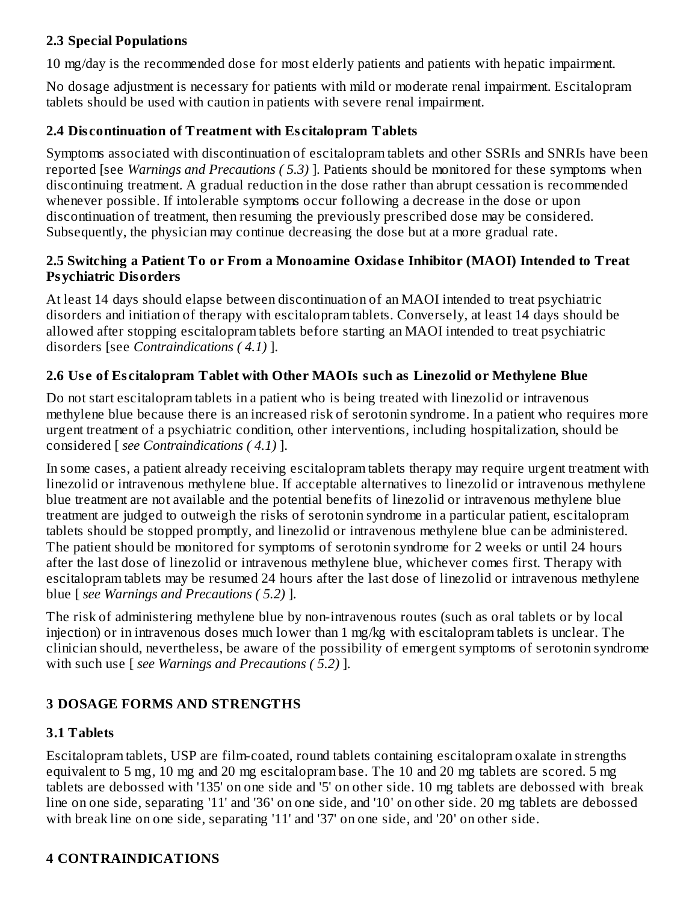### **2.3 Special Populations**

10 mg/day is the recommended dose for most elderly patients and patients with hepatic impairment.

No dosage adjustment is necessary for patients with mild or moderate renal impairment. Escitalopram tablets should be used with caution in patients with severe renal impairment.

# **2.4 Dis continuation of Treatment with Es citalopram Tablets**

Symptoms associated with discontinuation of escitalopram tablets and other SSRIs and SNRIs have been reported [see *Warnings and Precautions ( 5.3)* ]. Patients should be monitored for these symptoms when discontinuing treatment. A gradual reduction in the dose rather than abrupt cessation is recommended whenever possible. If intolerable symptoms occur following a decrease in the dose or upon discontinuation of treatment, then resuming the previously prescribed dose may be considered. Subsequently, the physician may continue decreasing the dose but at a more gradual rate.

#### **2.5 Switching a Patient To or From a Monoamine Oxidas e Inhibitor (MAOI) Intended to Treat Psychiatric Disorders**

At least 14 days should elapse between discontinuation of an MAOI intended to treat psychiatric disorders and initiation of therapy with escitalopram tablets. Conversely, at least 14 days should be allowed after stopping escitalopram tablets before starting an MAOI intended to treat psychiatric disorders [see *Contraindications ( 4.1)* ].

# **2.6 Us e of Es citalopram Tablet with Other MAOIs such as Linezolid or Methylene Blue**

Do not start escitalopram tablets in a patient who is being treated with linezolid or intravenous methylene blue because there is an increased risk of serotonin syndrome. In a patient who requires more urgent treatment of a psychiatric condition, other interventions, including hospitalization, should be considered [ *see Contraindications ( 4.1)* ].

In some cases, a patient already receiving escitalopram tablets therapy may require urgent treatment with linezolid or intravenous methylene blue. If acceptable alternatives to linezolid or intravenous methylene blue treatment are not available and the potential benefits of linezolid or intravenous methylene blue treatment are judged to outweigh the risks of serotonin syndrome in a particular patient, escitalopram tablets should be stopped promptly, and linezolid or intravenous methylene blue can be administered. The patient should be monitored for symptoms of serotonin syndrome for 2 weeks or until 24 hours after the last dose of linezolid or intravenous methylene blue, whichever comes first. Therapy with escitalopram tablets may be resumed 24 hours after the last dose of linezolid or intravenous methylene blue [ *see Warnings and Precautions ( 5.2)* ].

The risk of administering methylene blue by non-intravenous routes (such as oral tablets or by local injection) or in intravenous doses much lower than 1 mg/kg with escitalopram tablets is unclear. The clinician should, nevertheless, be aware of the possibility of emergent symptoms of serotonin syndrome with such use [ *see Warnings and Precautions ( 5.2)* ].

# **3 DOSAGE FORMS AND STRENGTHS**

# **3.1 Tablets**

Escitalopram tablets, USP are film-coated, round tablets containing escitalopram oxalate in strengths equivalent to 5 mg, 10 mg and 20 mg escitalopram base. The 10 and 20 mg tablets are scored. 5 mg tablets are debossed with '135' on one side and '5' on other side. 10 mg tablets are debossed with break line on one side, separating '11' and '36' on one side, and '10' on other side. 20 mg tablets are debossed with break line on one side, separating '11' and '37' on one side, and '20' on other side.

# **4 CONTRAINDICATIONS**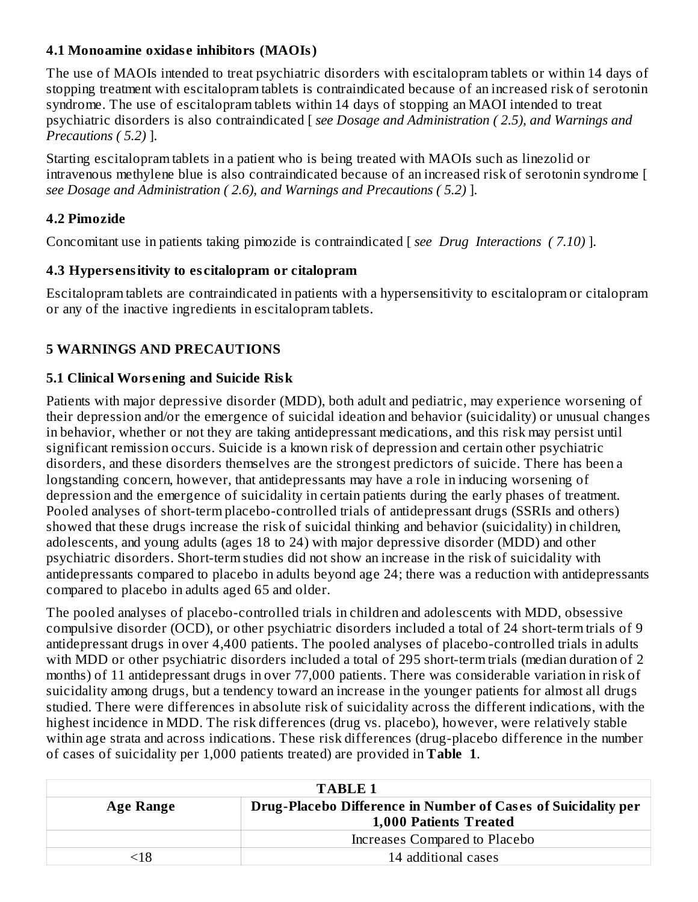# **4.1 Monoamine oxidas e inhibitors (MAOIs)**

The use of MAOIs intended to treat psychiatric disorders with escitalopram tablets or within 14 days of stopping treatment with escitalopram tablets is contraindicated because of an increased risk of serotonin syndrome. The use of escitalopram tablets within 14 days of stopping an MAOI intended to treat psychiatric disorders is also contraindicated [ *see Dosage and Administration ( 2.5), and Warnings and Precautions ( 5.2)* ].

Starting escitalopram tablets in a patient who is being treated with MAOIs such as linezolid or intravenous methylene blue is also contraindicated because of an increased risk of serotonin syndrome [ *see Dosage and Administration ( 2.6), and Warnings and Precautions ( 5.2)* ].

#### **4.2 Pimozide**

Concomitant use in patients taking pimozide is contraindicated [ *see Drug Interactions ( 7.10)* ].

### **4.3 Hypers ensitivity to es citalopram or citalopram**

Escitalopram tablets are contraindicated in patients with a hypersensitivity to escitalopram or citalopram or any of the inactive ingredients in escitalopram tablets.

# **5 WARNINGS AND PRECAUTIONS**

### **5.1 Clinical Wors ening and Suicide Risk**

Patients with major depressive disorder (MDD), both adult and pediatric, may experience worsening of their depression and/or the emergence of suicidal ideation and behavior (suicidality) or unusual changes in behavior, whether or not they are taking antidepressant medications, and this risk may persist until significant remission occurs. Suicide is a known risk of depression and certain other psychiatric disorders, and these disorders themselves are the strongest predictors of suicide. There has been a longstanding concern, however, that antidepressants may have a role in inducing worsening of depression and the emergence of suicidality in certain patients during the early phases of treatment. Pooled analyses of short-term placebo-controlled trials of antidepressant drugs (SSRIs and others) showed that these drugs increase the risk of suicidal thinking and behavior (suicidality) in children, adolescents, and young adults (ages 18 to 24) with major depressive disorder (MDD) and other psychiatric disorders. Short-term studies did not show an increase in the risk of suicidality with antidepressants compared to placebo in adults beyond age 24; there was a reduction with antidepressants compared to placebo in adults aged 65 and older.

The pooled analyses of placebo-controlled trials in children and adolescents with MDD, obsessive compulsive disorder (OCD), or other psychiatric disorders included a total of 24 short-term trials of 9 antidepressant drugs in over 4,400 patients. The pooled analyses of placebo-controlled trials in adults with MDD or other psychiatric disorders included a total of 295 short-term trials (median duration of 2 months) of 11 antidepressant drugs in over 77,000 patients. There was considerable variation in risk of suicidality among drugs, but a tendency toward an increase in the younger patients for almost all drugs studied. There were differences in absolute risk of suicidality across the different indications, with the highest incidence in MDD. The risk differences (drug vs. placebo), however, were relatively stable within age strata and across indications. These risk differences (drug-placebo difference in the number of cases of suicidality per 1,000 patients treated) are provided in **Table 1**.

| TABLE 1                                                                                  |                               |  |
|------------------------------------------------------------------------------------------|-------------------------------|--|
| <b>Drug-Placebo Difference in Number of Cases of Suicidality per</b><br><b>Age Range</b> |                               |  |
|                                                                                          | 1,000 Patients Treated        |  |
|                                                                                          | Increases Compared to Placebo |  |
| <18                                                                                      | 14 additional cases           |  |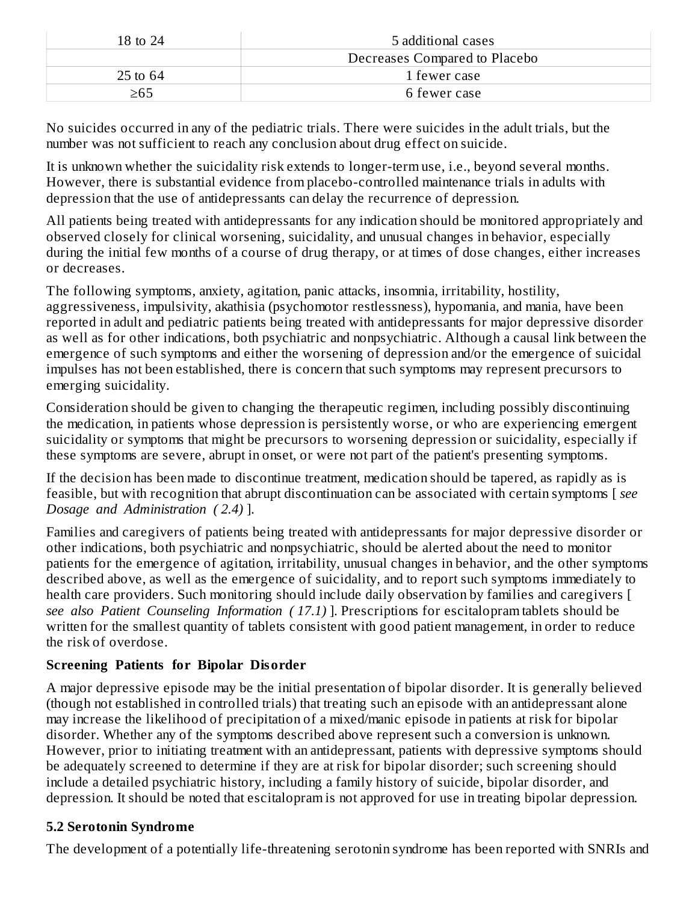| 18 to 24  | 5 additional cases            |  |
|-----------|-------------------------------|--|
|           | Decreases Compared to Placebo |  |
| 25 to 64  | 1 fewer case                  |  |
| $\geq 65$ | 6 fewer case                  |  |

No suicides occurred in any of the pediatric trials. There were suicides in the adult trials, but the number was not sufficient to reach any conclusion about drug effect on suicide.

It is unknown whether the suicidality risk extends to longer-term use, i.e., beyond several months. However, there is substantial evidence from placebo-controlled maintenance trials in adults with depression that the use of antidepressants can delay the recurrence of depression.

All patients being treated with antidepressants for any indication should be monitored appropriately and observed closely for clinical worsening, suicidality, and unusual changes in behavior, especially during the initial few months of a course of drug therapy, or at times of dose changes, either increases or decreases.

The following symptoms, anxiety, agitation, panic attacks, insomnia, irritability, hostility, aggressiveness, impulsivity, akathisia (psychomotor restlessness), hypomania, and mania, have been reported in adult and pediatric patients being treated with antidepressants for major depressive disorder as well as for other indications, both psychiatric and nonpsychiatric. Although a causal link between the emergence of such symptoms and either the worsening of depression and/or the emergence of suicidal impulses has not been established, there is concern that such symptoms may represent precursors to emerging suicidality.

Consideration should be given to changing the therapeutic regimen, including possibly discontinuing the medication, in patients whose depression is persistently worse, or who are experiencing emergent suicidality or symptoms that might be precursors to worsening depression or suicidality, especially if these symptoms are severe, abrupt in onset, or were not part of the patient's presenting symptoms.

If the decision has been made to discontinue treatment, medication should be tapered, as rapidly as is feasible, but with recognition that abrupt discontinuation can be associated with certain symptoms [ *see Dosage and Administration ( 2.4)* ].

Families and caregivers of patients being treated with antidepressants for major depressive disorder or other indications, both psychiatric and nonpsychiatric, should be alerted about the need to monitor patients for the emergence of agitation, irritability, unusual changes in behavior, and the other symptoms described above, as well as the emergence of suicidality, and to report such symptoms immediately to health care providers. Such monitoring should include daily observation by families and caregivers [ *see also Patient Counseling Information ( 17.1)* ]. Prescriptions for escitalopram tablets should be written for the smallest quantity of tablets consistent with good patient management, in order to reduce the risk of overdose.

# **Screening Patients for Bipolar Disorder**

A major depressive episode may be the initial presentation of bipolar disorder. It is generally believed (though not established in controlled trials) that treating such an episode with an antidepressant alone may increase the likelihood of precipitation of a mixed/manic episode in patients at risk for bipolar disorder. Whether any of the symptoms described above represent such a conversion is unknown. However, prior to initiating treatment with an antidepressant, patients with depressive symptoms should be adequately screened to determine if they are at risk for bipolar disorder; such screening should include a detailed psychiatric history, including a family history of suicide, bipolar disorder, and depression. It should be noted that escitalopram is not approved for use in treating bipolar depression.

# **5.2 Serotonin Syndrome**

The development of a potentially life-threatening serotonin syndrome has been reported with SNRIs and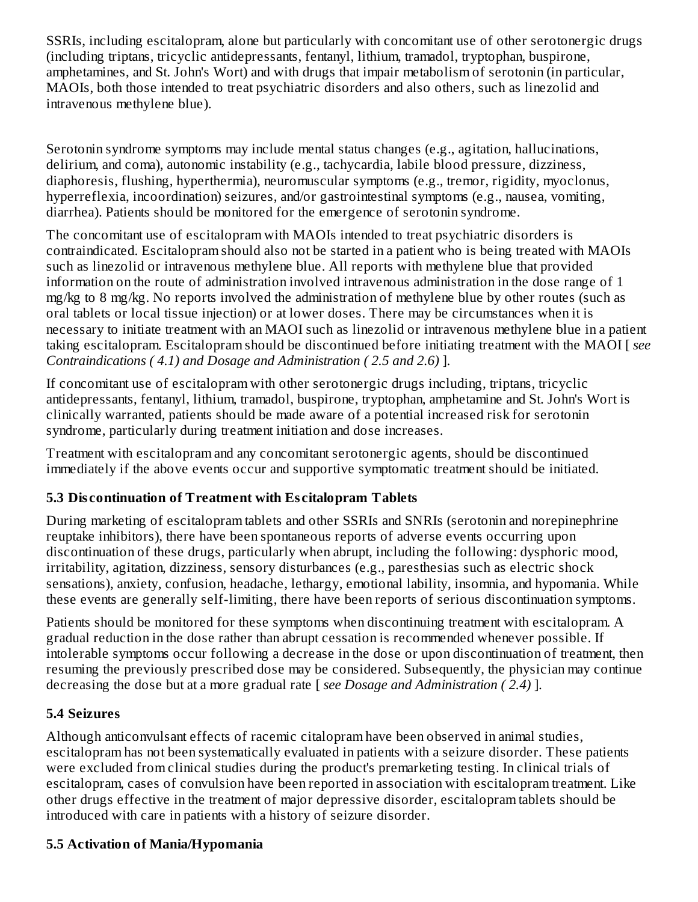SSRIs, including escitalopram, alone but particularly with concomitant use of other serotonergic drugs (including triptans, tricyclic antidepressants, fentanyl, lithium, tramadol, tryptophan, buspirone, amphetamines, and St. John's Wort) and with drugs that impair metabolism of serotonin (in particular, MAOIs, both those intended to treat psychiatric disorders and also others, such as linezolid and intravenous methylene blue).

Serotonin syndrome symptoms may include mental status changes (e.g., agitation, hallucinations, delirium, and coma), autonomic instability (e.g., tachycardia, labile blood pressure, dizziness, diaphoresis, flushing, hyperthermia), neuromuscular symptoms (e.g., tremor, rigidity, myoclonus, hyperreflexia, incoordination) seizures, and/or gastrointestinal symptoms (e.g., nausea, vomiting, diarrhea). Patients should be monitored for the emergence of serotonin syndrome.

The concomitant use of escitalopram with MAOIs intended to treat psychiatric disorders is contraindicated. Escitalopram should also not be started in a patient who is being treated with MAOIs such as linezolid or intravenous methylene blue. All reports with methylene blue that provided information on the route of administration involved intravenous administration in the dose range of 1 mg/kg to 8 mg/kg. No reports involved the administration of methylene blue by other routes (such as oral tablets or local tissue injection) or at lower doses. There may be circumstances when it is necessary to initiate treatment with an MAOI such as linezolid or intravenous methylene blue in a patient taking escitalopram. Escitalopram should be discontinued before initiating treatment with the MAOI [ *see Contraindications ( 4.1) and Dosage and Administration ( 2.5 and 2.6)* ].

If concomitant use of escitalopram with other serotonergic drugs including, triptans, tricyclic antidepressants, fentanyl, lithium, tramadol, buspirone, tryptophan, amphetamine and St. John's Wort is clinically warranted, patients should be made aware of a potential increased risk for serotonin syndrome, particularly during treatment initiation and dose increases.

Treatment with escitalopram and any concomitant serotonergic agents, should be discontinued immediately if the above events occur and supportive symptomatic treatment should be initiated.

# **5.3 Dis continuation of Treatment with Es citalopram Tablets**

During marketing of escitalopram tablets and other SSRIs and SNRIs (serotonin and norepinephrine reuptake inhibitors), there have been spontaneous reports of adverse events occurring upon discontinuation of these drugs, particularly when abrupt, including the following: dysphoric mood, irritability, agitation, dizziness, sensory disturbances (e.g., paresthesias such as electric shock sensations), anxiety, confusion, headache, lethargy, emotional lability, insomnia, and hypomania. While these events are generally self-limiting, there have been reports of serious discontinuation symptoms.

Patients should be monitored for these symptoms when discontinuing treatment with escitalopram. A gradual reduction in the dose rather than abrupt cessation is recommended whenever possible. If intolerable symptoms occur following a decrease in the dose or upon discontinuation of treatment, then resuming the previously prescribed dose may be considered. Subsequently, the physician may continue decreasing the dose but at a more gradual rate [ *see Dosage and Administration ( 2.4)* ].

# **5.4 Seizures**

Although anticonvulsant effects of racemic citalopram have been observed in animal studies, escitalopram has not been systematically evaluated in patients with a seizure disorder. These patients were excluded from clinical studies during the product's premarketing testing. In clinical trials of escitalopram, cases of convulsion have been reported in association with escitalopram treatment. Like other drugs effective in the treatment of major depressive disorder, escitalopram tablets should be introduced with care in patients with a history of seizure disorder.

# **5.5 Activation of Mania/Hypomania**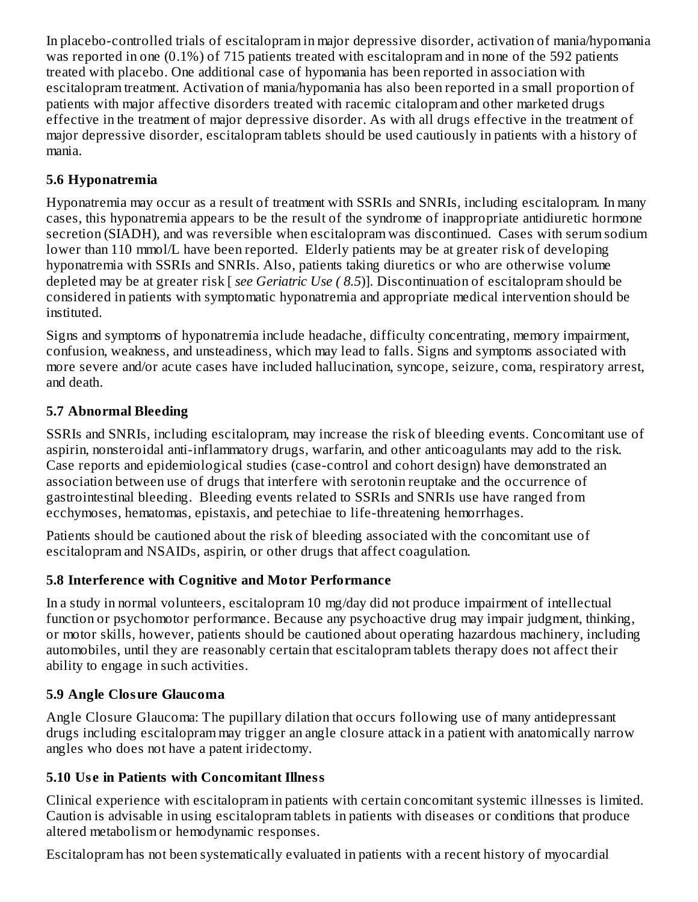In placebo-controlled trials of escitalopram in major depressive disorder, activation of mania/hypomania was reported in one (0.1%) of 715 patients treated with escitalopram and in none of the 592 patients treated with placebo. One additional case of hypomania has been reported in association with escitalopram treatment. Activation of mania/hypomania has also been reported in a small proportion of patients with major affective disorders treated with racemic citalopram and other marketed drugs effective in the treatment of major depressive disorder. As with all drugs effective in the treatment of major depressive disorder, escitalopram tablets should be used cautiously in patients with a history of mania.

# **5.6 Hyponatremia**

Hyponatremia may occur as a result of treatment with SSRIs and SNRIs, including escitalopram. In many cases, this hyponatremia appears to be the result of the syndrome of inappropriate antidiuretic hormone secretion (SIADH), and was reversible when escitalopram was discontinued. Cases with serum sodium lower than 110 mmol/L have been reported. Elderly patients may be at greater risk of developing hyponatremia with SSRIs and SNRIs. Also, patients taking diuretics or who are otherwise volume depleted may be at greater risk [ *see Geriatric Use ( 8.5*)]. Discontinuation of escitalopram should be considered in patients with symptomatic hyponatremia and appropriate medical intervention should be instituted.

Signs and symptoms of hyponatremia include headache, difficulty concentrating, memory impairment, confusion, weakness, and unsteadiness, which may lead to falls. Signs and symptoms associated with more severe and/or acute cases have included hallucination, syncope, seizure, coma, respiratory arrest, and death.

# **5.7 Abnormal Bleeding**

SSRIs and SNRIs, including escitalopram, may increase the risk of bleeding events. Concomitant use of aspirin, nonsteroidal anti-inflammatory drugs, warfarin, and other anticoagulants may add to the risk. Case reports and epidemiological studies (case-control and cohort design) have demonstrated an association between use of drugs that interfere with serotonin reuptake and the occurrence of gastrointestinal bleeding. Bleeding events related to SSRIs and SNRIs use have ranged from ecchymoses, hematomas, epistaxis, and petechiae to life-threatening hemorrhages.

Patients should be cautioned about the risk of bleeding associated with the concomitant use of escitalopram and NSAIDs, aspirin, or other drugs that affect coagulation.

# **5.8 Interference with Cognitive and Motor Performance**

In a study in normal volunteers, escitalopram 10 mg/day did not produce impairment of intellectual function or psychomotor performance. Because any psychoactive drug may impair judgment, thinking, or motor skills, however, patients should be cautioned about operating hazardous machinery, including automobiles, until they are reasonably certain that escitalopram tablets therapy does not affect their ability to engage in such activities.

# **5.9 Angle Closure Glaucoma**

Angle Closure Glaucoma: The pupillary dilation that occurs following use of many antidepressant drugs including escitalopram may trigger an angle closure attack in a patient with anatomically narrow angles who does not have a patent iridectomy.

# **5.10 Us e in Patients with Concomitant Illness**

Clinical experience with escitalopram in patients with certain concomitant systemic illnesses is limited. Caution is advisable in using escitalopram tablets in patients with diseases or conditions that produce altered metabolism or hemodynamic responses.

Escitalopram has not been systematically evaluated in patients with a recent history of myocardial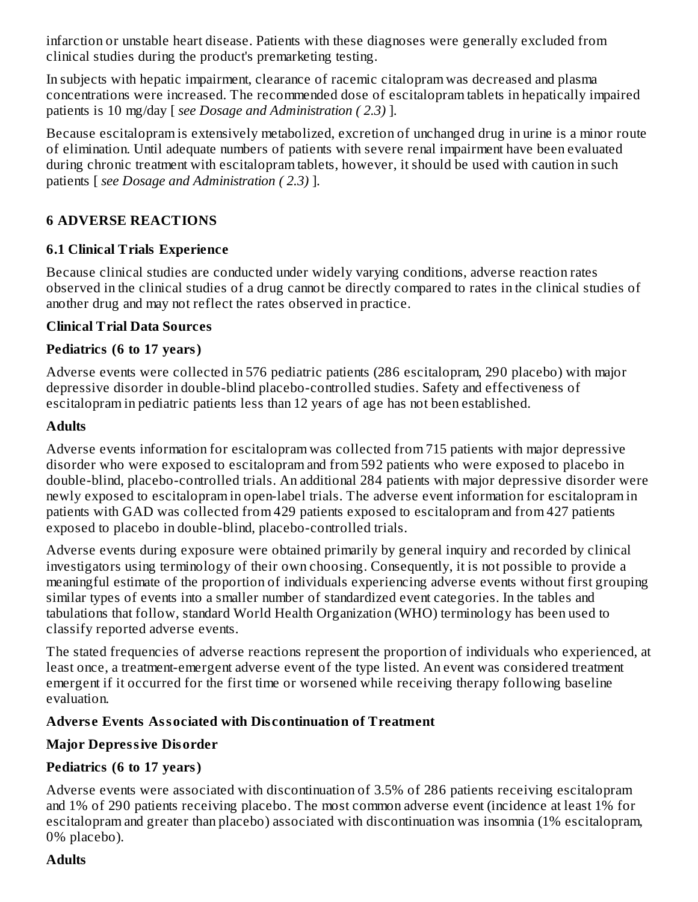infarction or unstable heart disease. Patients with these diagnoses were generally excluded from clinical studies during the product's premarketing testing.

In subjects with hepatic impairment, clearance of racemic citalopram was decreased and plasma concentrations were increased. The recommended dose of escitalopram tablets in hepatically impaired patients is 10 mg/day [ *see Dosage and Administration ( 2.3)* ].

Because escitalopram is extensively metabolized, excretion of unchanged drug in urine is a minor route of elimination. Until adequate numbers of patients with severe renal impairment have been evaluated during chronic treatment with escitalopram tablets, however, it should be used with caution in such patients [ *see Dosage and Administration ( 2.3)* ].

# **6 ADVERSE REACTIONS**

# **6.1 Clinical Trials Experience**

Because clinical studies are conducted under widely varying conditions, adverse reaction rates observed in the clinical studies of a drug cannot be directly compared to rates in the clinical studies of another drug and may not reflect the rates observed in practice.

# **Clinical Trial Data Sources**

# **Pediatrics (6 to 17 years)**

Adverse events were collected in 576 pediatric patients (286 escitalopram, 290 placebo) with major depressive disorder in double-blind placebo-controlled studies. Safety and effectiveness of escitalopram in pediatric patients less than 12 years of age has not been established.

### **Adults**

Adverse events information for escitalopram was collected from 715 patients with major depressive disorder who were exposed to escitalopram and from 592 patients who were exposed to placebo in double-blind, placebo-controlled trials. An additional 284 patients with major depressive disorder were newly exposed to escitalopram in open-label trials. The adverse event information for escitalopram in patients with GAD was collected from 429 patients exposed to escitalopram and from 427 patients exposed to placebo in double-blind, placebo-controlled trials.

Adverse events during exposure were obtained primarily by general inquiry and recorded by clinical investigators using terminology of their own choosing. Consequently, it is not possible to provide a meaningful estimate of the proportion of individuals experiencing adverse events without first grouping similar types of events into a smaller number of standardized event categories. In the tables and tabulations that follow, standard World Health Organization (WHO) terminology has been used to classify reported adverse events.

The stated frequencies of adverse reactions represent the proportion of individuals who experienced, at least once, a treatment-emergent adverse event of the type listed. An event was considered treatment emergent if it occurred for the first time or worsened while receiving therapy following baseline evaluation.

# **Advers e Events Associated with Dis continuation of Treatment**

# **Major Depressive Disorder**

# **Pediatrics (6 to 17 years)**

Adverse events were associated with discontinuation of 3.5% of 286 patients receiving escitalopram and 1% of 290 patients receiving placebo. The most common adverse event (incidence at least 1% for escitalopram and greater than placebo) associated with discontinuation was insomnia (1% escitalopram, 0% placebo).

# **Adults**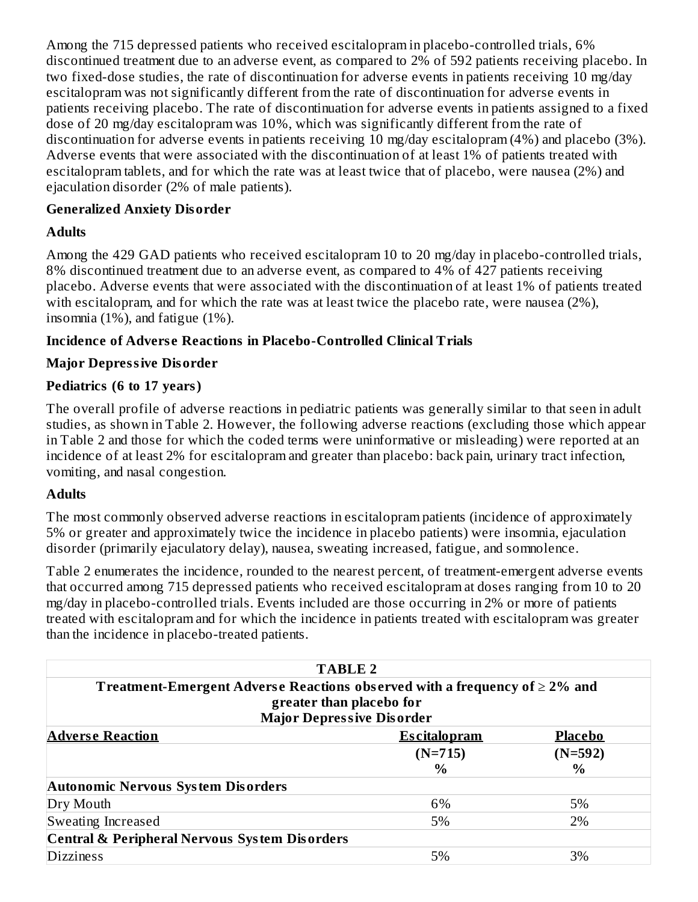Among the 715 depressed patients who received escitalopram in placebo-controlled trials, 6% discontinued treatment due to an adverse event, as compared to 2% of 592 patients receiving placebo. In two fixed-dose studies, the rate of discontinuation for adverse events in patients receiving 10 mg/day escitalopram was not significantly different from the rate of discontinuation for adverse events in patients receiving placebo. The rate of discontinuation for adverse events in patients assigned to a fixed dose of 20 mg/day escitalopram was 10%, which was significantly different from the rate of discontinuation for adverse events in patients receiving 10 mg/day escitalopram (4%) and placebo (3%). Adverse events that were associated with the discontinuation of at least 1% of patients treated with escitalopram tablets, and for which the rate was at least twice that of placebo, were nausea (2%) and ejaculation disorder (2% of male patients).

### **Generalized Anxiety Disorder**

# **Adults**

Among the 429 GAD patients who received escitalopram 10 to 20 mg/day in placebo-controlled trials, 8% discontinued treatment due to an adverse event, as compared to 4% of 427 patients receiving placebo. Adverse events that were associated with the discontinuation of at least 1% of patients treated with escitalopram, and for which the rate was at least twice the placebo rate, were nausea (2%), insomnia (1%), and fatigue (1%).

### **Incidence of Advers e Reactions in Placebo-Controlled Clinical Trials**

### **Major Depressive Disorder**

### **Pediatrics (6 to 17 years)**

The overall profile of adverse reactions in pediatric patients was generally similar to that seen in adult studies, as shown in Table 2. However, the following adverse reactions (excluding those which appear in Table 2 and those for which the coded terms were uninformative or misleading) were reported at an incidence of at least 2% for escitalopram and greater than placebo: back pain, urinary tract infection, vomiting, and nasal congestion.

#### **Adults**

The most commonly observed adverse reactions in escitalopram patients (incidence of approximately 5% or greater and approximately twice the incidence in placebo patients) were insomnia, ejaculation disorder (primarily ejaculatory delay), nausea, sweating increased, fatigue, and somnolence.

Table 2 enumerates the incidence, rounded to the nearest percent, of treatment-emergent adverse events that occurred among 715 depressed patients who received escitalopram at doses ranging from 10 to 20 mg/day in placebo-controlled trials. Events included are those occurring in 2% or more of patients treated with escitalopram and for which the incidence in patients treated with escitalopram was greater than the incidence in placebo-treated patients.

| <b>TABLE 2</b>                                                                   |                |  |  |
|----------------------------------------------------------------------------------|----------------|--|--|
| Treatment-Emergent Adverse Reactions observed with a frequency of $\geq 2\%$ and |                |  |  |
| greater than placebo for                                                         |                |  |  |
| <b>Major Depressive Disorder</b>                                                 |                |  |  |
| <b>Escitalopram</b>                                                              | <b>Placebo</b> |  |  |
| $(N=715)$                                                                        | $(N=592)$      |  |  |
| $\%$<br>$\%$                                                                     |                |  |  |
| <b>Autonomic Nervous System Disorders</b>                                        |                |  |  |
| 6%                                                                               | 5%             |  |  |
| 5%                                                                               | 2%             |  |  |
| <b>Central &amp; Peripheral Nervous System Disorders</b>                         |                |  |  |
| 5%                                                                               | 3%             |  |  |
|                                                                                  |                |  |  |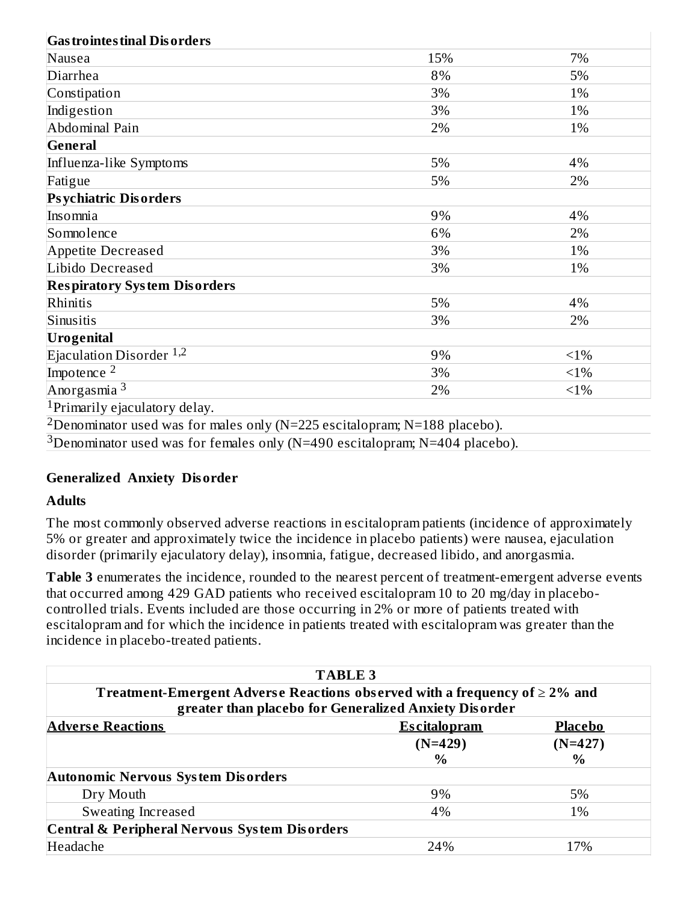| <b>Gas trointes tinal Dis orders</b>                                                  |     |        |
|---------------------------------------------------------------------------------------|-----|--------|
| Nausea                                                                                | 15% | 7%     |
| Diarrhea                                                                              | 8%  | 5%     |
| Constipation                                                                          | 3%  | 1%     |
| Indigestion                                                                           | 3%  | 1%     |
| Abdominal Pain                                                                        | 2%  | 1%     |
| General                                                                               |     |        |
| Influenza-like Symptoms                                                               | 5%  | 4%     |
| Fatigue                                                                               | 5%  | 2%     |
| <b>Psychiatric Disorders</b>                                                          |     |        |
| Insomnia                                                                              | 9%  | 4%     |
| Somnolence                                                                            | 6%  | 2%     |
| Appetite Decreased                                                                    | 3%  | 1%     |
| Libido Decreased                                                                      | 3%  | 1%     |
| <b>Respiratory System Disorders</b>                                                   |     |        |
| Rhinitis                                                                              | 5%  | 4%     |
| Sinusitis                                                                             | 3%  | 2%     |
| Urogenital                                                                            |     |        |
| Ejaculation Disorder $^{1,2}$                                                         | 9%  | $<1\%$ |
| Impotence <sup>2</sup>                                                                | 3%  | $<1\%$ |
| Anorgasmia <sup>3</sup>                                                               | 2%  | $<1\%$ |
| <sup>1</sup> Primarily ejaculatory delay.                                             |     |        |
| <sup>2</sup> Denominator used was for males only (N=225 escitalopram; N=188 placebo). |     |        |

 $\rm ^3$ Denominator used was for females only (N=490 escitalopram; N=404 placebo).

#### **Generalized Anxiety Disorder**

#### **Adults**

The most commonly observed adverse reactions in escitalopram patients (incidence of approximately 5% or greater and approximately twice the incidence in placebo patients) were nausea, ejaculation disorder (primarily ejaculatory delay), insomnia, fatigue, decreased libido, and anorgasmia.

**Table 3** enumerates the incidence, rounded to the nearest percent of treatment-emergent adverse events that occurred among 429 GAD patients who received escitalopram 10 to 20 mg/day in placebocontrolled trials. Events included are those occurring in 2% or more of patients treated with escitalopram and for which the incidence in patients treated with escitalopram was greater than the incidence in placebo-treated patients.

| <b>TABLE 3</b><br>Treatment-Emergent Adverse Reactions observed with a frequency of $\geq 2\%$ and |           |           |                                                       |
|----------------------------------------------------------------------------------------------------|-----------|-----------|-------------------------------------------------------|
|                                                                                                    |           |           | greater than placebo for Generalized Anxiety Disorder |
| <b>Escitalopram</b><br><b>Adverse Reactions</b><br><b>Placebo</b>                                  |           |           |                                                       |
|                                                                                                    | $(N=429)$ | $(N=427)$ |                                                       |
| $\%$<br>$\%$                                                                                       |           |           |                                                       |
| <b>Autonomic Nervous System Disorders</b>                                                          |           |           |                                                       |
| Dry Mouth                                                                                          | 9%        | 5%        |                                                       |
| Sweating Increased                                                                                 | 4%        | 1%        |                                                       |
| <b>Central &amp; Peripheral Nervous System Disorders</b>                                           |           |           |                                                       |
| Headache                                                                                           | 24%       | 17%       |                                                       |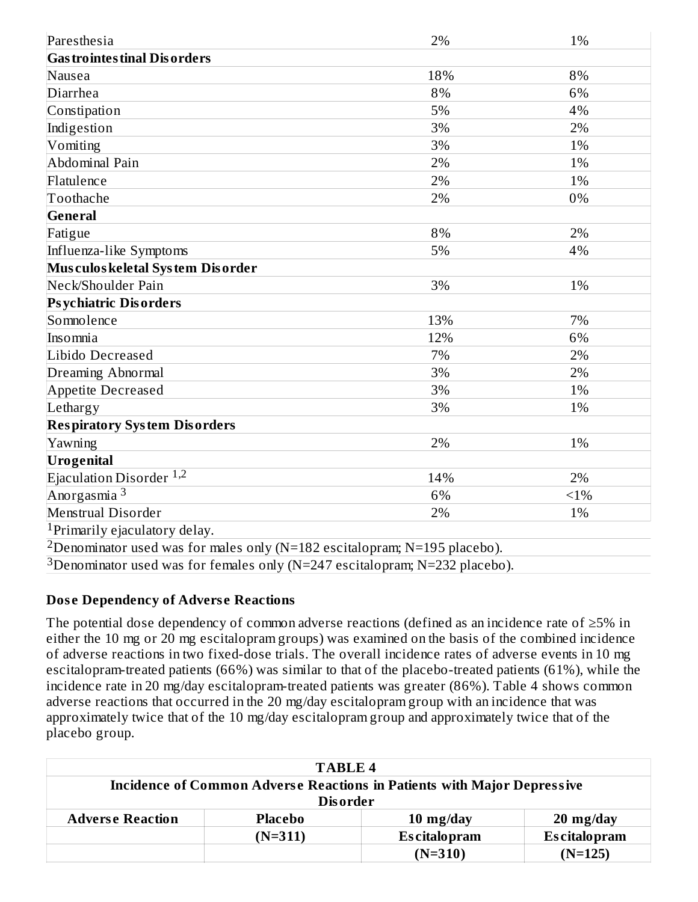| Paresthesia                                                                                  | 2%  | 1%      |
|----------------------------------------------------------------------------------------------|-----|---------|
| <b>Gas trointes tinal Dis orders</b>                                                         |     |         |
| Nausea                                                                                       | 18% | 8%      |
| Diarrhea                                                                                     | 8%  | 6%      |
| Constipation                                                                                 | 5%  | 4%      |
| Indigestion                                                                                  | 3%  | 2%      |
| Vomiting                                                                                     | 3%  | 1%      |
| Abdominal Pain                                                                               | 2%  | 1%      |
| Flatulence                                                                                   | 2%  | 1%      |
| Toothache                                                                                    | 2%  | 0%      |
| General                                                                                      |     |         |
| Fatigue                                                                                      | 8%  | 2%      |
| Influenza-like Symptoms                                                                      | 5%  | 4%      |
| Musculos keletal System Disorder                                                             |     |         |
| Neck/Shoulder Pain                                                                           | 3%  | 1%      |
| <b>Psychiatric Disorders</b>                                                                 |     |         |
| Somnolence                                                                                   | 13% | 7%      |
| Insomnia                                                                                     | 12% | 6%      |
| Libido Decreased                                                                             | 7%  | 2%      |
| Dreaming Abnormal                                                                            | 3%  | 2%      |
| Appetite Decreased                                                                           | 3%  | 1%      |
| Lethargy                                                                                     | 3%  | 1%      |
| <b>Respiratory System Disorders</b>                                                          |     |         |
| Yawning                                                                                      | 2%  | 1%      |
| Urogenital                                                                                   |     |         |
| Ejaculation Disorder <sup>1,2</sup>                                                          | 14% | 2%      |
| Anorgasmia <sup>3</sup>                                                                      | 6%  | $< 1\%$ |
| <b>Menstrual Disorder</b>                                                                    | 2%  | 1%      |
| <sup>1</sup> Primarily ejaculatory delay.                                                    |     |         |
| <sup>2</sup> Denominator used was for males only (N=182 escitalopram; N=195 placebo).        |     |         |
| <sup>3</sup> Denominator used was for females only ( $N=247$ escitalopram; $N=232$ placebo). |     |         |

#### **Dos e Dependency of Advers e Reactions**

The potential dose dependency of common adverse reactions (defined as an incidence rate of ≥5% in either the 10 mg or 20 mg escitalopram groups) was examined on the basis of the combined incidence of adverse reactions in two fixed-dose trials. The overall incidence rates of adverse events in 10 mg escitalopram-treated patients (66%) was similar to that of the placebo-treated patients (61%), while the incidence rate in 20 mg/day escitalopram-treated patients was greater (86%). Table 4 shows common adverse reactions that occurred in the 20 mg/day escitalopram group with an incidence that was approximately twice that of the 10 mg/day escitalopram group and approximately twice that of the placebo group.

| TABLE 4                                                                                     |           |                     |                     |
|---------------------------------------------------------------------------------------------|-----------|---------------------|---------------------|
| <b>Incidence of Common Adverse Reactions in Patients with Major Depressive</b>              |           |                     |                     |
| <b>Disorder</b>                                                                             |           |                     |                     |
| <b>Placebo</b><br><b>Adverse Reaction</b><br>$20 \; \text{mg/day}$<br>$10 \; \text{mg/day}$ |           |                     |                     |
|                                                                                             | $(N=311)$ | <b>Escitalopram</b> | <b>Escitalopram</b> |
|                                                                                             |           | $(N=310)$           | $(N=125)$           |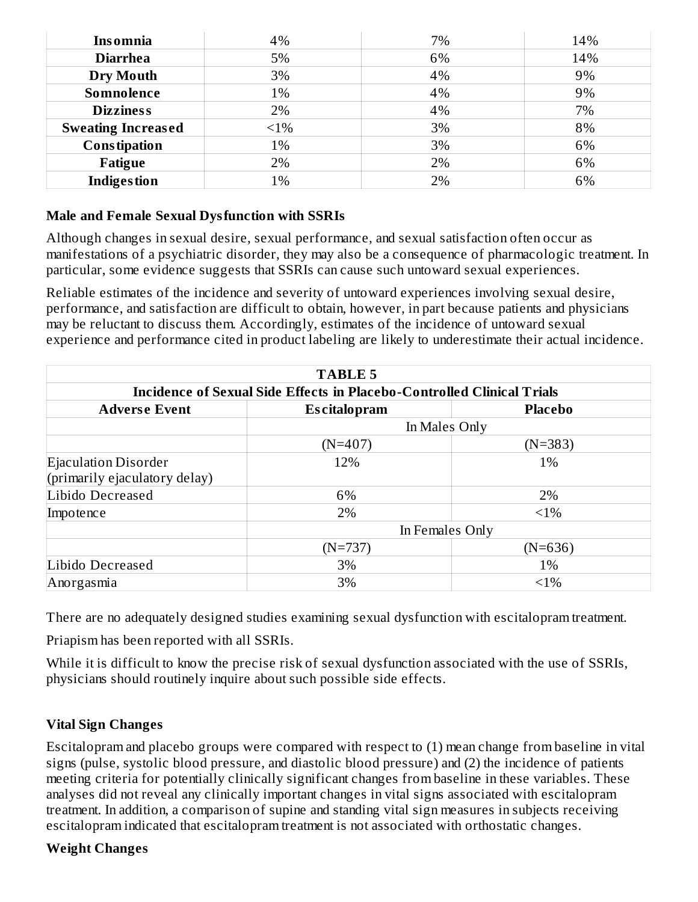| <b>Insomnia</b>           | 4%     | 7% | 14% |
|---------------------------|--------|----|-----|
| <b>Diarrhea</b>           | 5%     | 6% | 14% |
| Dry Mouth                 | 3%     | 4% | 9%  |
| Somnolence                | 1%     | 4% | 9%  |
| <b>Dizziness</b>          | 2%     | 4% | 7%  |
| <b>Sweating Increased</b> | $<1\%$ | 3% | 8%  |
| <b>Constipation</b>       | 1%     | 3% | 6%  |
| <b>Fatigue</b>            | 2%     | 2% | 6%  |
| <b>Indigestion</b>        | 1%     | 2% | 6%  |

#### **Male and Female Sexual Dysfunction with SSRIs**

Although changes in sexual desire, sexual performance, and sexual satisfaction often occur as manifestations of a psychiatric disorder, they may also be a consequence of pharmacologic treatment. In particular, some evidence suggests that SSRIs can cause such untoward sexual experiences.

Reliable estimates of the incidence and severity of untoward experiences involving sexual desire, performance, and satisfaction are difficult to obtain, however, in part because patients and physicians may be reluctant to discuss them. Accordingly, estimates of the incidence of untoward sexual experience and performance cited in product labeling are likely to underestimate their actual incidence.

| <b>TABLE 5</b>                                                                |                     |                |  |
|-------------------------------------------------------------------------------|---------------------|----------------|--|
| <b>Incidence of Sexual Side Effects in Placebo-Controlled Clinical Trials</b> |                     |                |  |
| <b>Adverse Event</b>                                                          | <b>Escitalopram</b> | <b>Placebo</b> |  |
|                                                                               | In Males Only       |                |  |
|                                                                               | $(N=407)$           | $(N=383)$      |  |
| Ejaculation Disorder                                                          | 12%                 | 1%             |  |
| (primarily ejaculatory delay)                                                 |                     |                |  |
| Libido Decreased                                                              | 6%                  | 2%             |  |
| Impotence                                                                     | 2%                  | $<1\%$         |  |
|                                                                               | In Females Only     |                |  |
|                                                                               | $(N=737)$           | $(N=636)$      |  |
| Libido Decreased                                                              | 3%                  | 1%             |  |
| Anorgasmia                                                                    | 3%                  | $<1\%$         |  |

There are no adequately designed studies examining sexual dysfunction with escitalopram treatment.

Priapism has been reported with all SSRIs.

While it is difficult to know the precise risk of sexual dysfunction associated with the use of SSRIs, physicians should routinely inquire about such possible side effects.

# **Vital Sign Changes**

Escitalopram and placebo groups were compared with respect to (1) mean change from baseline in vital signs (pulse, systolic blood pressure, and diastolic blood pressure) and (2) the incidence of patients meeting criteria for potentially clinically significant changes from baseline in these variables. These analyses did not reveal any clinically important changes in vital signs associated with escitalopram treatment. In addition, a comparison of supine and standing vital sign measures in subjects receiving escitalopram indicated that escitalopram treatment is not associated with orthostatic changes.

# **Weight Changes**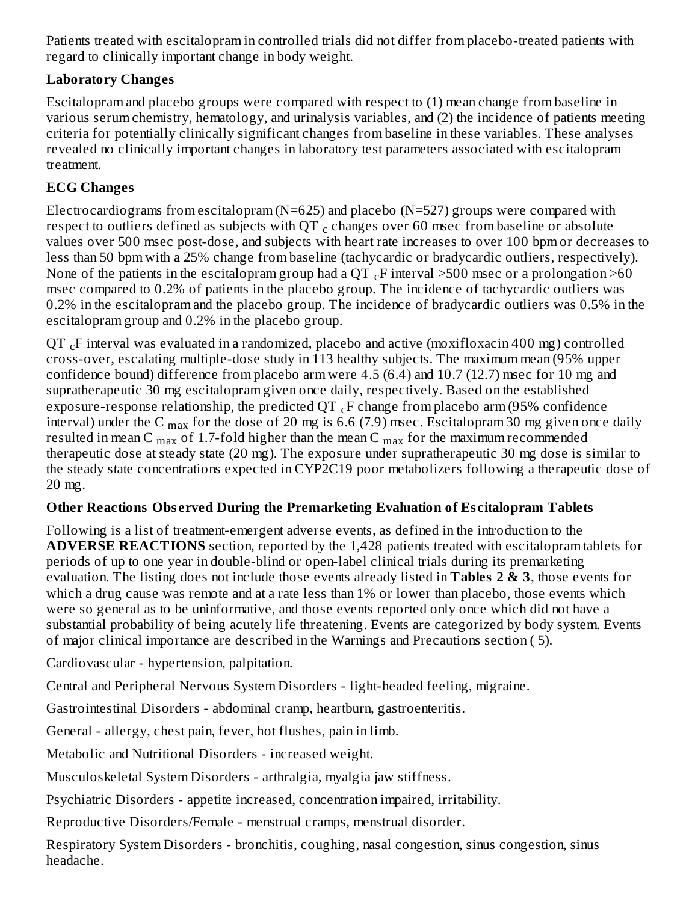Patients treated with escitalopram in controlled trials did not differ from placebo-treated patients with regard to clinically important change in body weight.

# **Laboratory Changes**

Escitalopram and placebo groups were compared with respect to (1) mean change from baseline in various serum chemistry, hematology, and urinalysis variables, and (2) the incidence of patients meeting criteria for potentially clinically significant changes from baseline in these variables. These analyses revealed no clinically important changes in laboratory test parameters associated with escitalopram treatment.

# **ECG Changes**

Electrocardiograms from escitalopram ( $N=625$ ) and placebo ( $N=527$ ) groups were compared with respect to outliers defined as subjects with QT  $_{\rm c}$  changes over 60 msec from baseline or absolute values over 500 msec post-dose, and subjects with heart rate increases to over 100 bpm or decreases to less than 50 bpm with a 25% change from baseline (tachycardic or bradycardic outliers, respectively). None of the patients in the escitalopram group had a QT  $_{\rm c}$ F interval >500 msec or a prolongation >60 msec compared to 0.2% of patients in the placebo group. The incidence of tachycardic outliers was 0.2% in the escitalopram and the placebo group. The incidence of bradycardic outliers was 0.5% in the escitalopram group and 0.2% in the placebo group.

 $\text{QT }_{\text{c}}$ F interval was evaluated in a randomized, placebo and active (moxifloxacin 400 mg) controlled cross-over, escalating multiple-dose study in 113 healthy subjects. The maximum mean (95% upper confidence bound) difference from placebo arm were 4.5 (6.4) and 10.7 (12.7) msec for 10 mg and supratherapeutic 30 mg escitalopram given once daily, respectively. Based on the established exposure-response relationship, the predicted QT  $_{\rm c}$ F change from placebo arm (95% confidence interval) under the C  $_{\rm max}$  for the dose of 20 mg is 6.6 (7.9) msec. Escitalopram 30 mg given once daily resulted in mean C  $_{\rm max}$  of 1.7-fold higher than the mean C  $_{\rm max}$  for the maximum recommended therapeutic dose at steady state (20 mg). The exposure under supratherapeutic 30 mg dose is similar to the steady state concentrations expected in CYP2C19 poor metabolizers following a therapeutic dose of 20 mg.

# **Other Reactions Obs erved During the Premarketing Evaluation of Es citalopram Tablets**

Following is a list of treatment-emergent adverse events, as defined in the introduction to the **ADVERSE REACTIONS** section, reported by the 1,428 patients treated with escitalopram tablets for periods of up to one year in double-blind or open-label clinical trials during its premarketing evaluation. The listing does not include those events already listed in **Tables 2 & 3**, those events for which a drug cause was remote and at a rate less than 1% or lower than placebo, those events which were so general as to be uninformative, and those events reported only once which did not have a substantial probability of being acutely life threatening. Events are categorized by body system. Events of major clinical importance are described in the Warnings and Precautions section ( 5).

Cardiovascular - hypertension, palpitation.

Central and Peripheral Nervous System Disorders - light-headed feeling, migraine.

Gastrointestinal Disorders - abdominal cramp, heartburn, gastroenteritis.

General - allergy, chest pain, fever, hot flushes, pain in limb.

Metabolic and Nutritional Disorders - increased weight.

Musculoskeletal System Disorders - arthralgia, myalgia jaw stiffness.

Psychiatric Disorders - appetite increased, concentration impaired, irritability.

Reproductive Disorders/Female - menstrual cramps, menstrual disorder.

Respiratory System Disorders - bronchitis, coughing, nasal congestion, sinus congestion, sinus headache.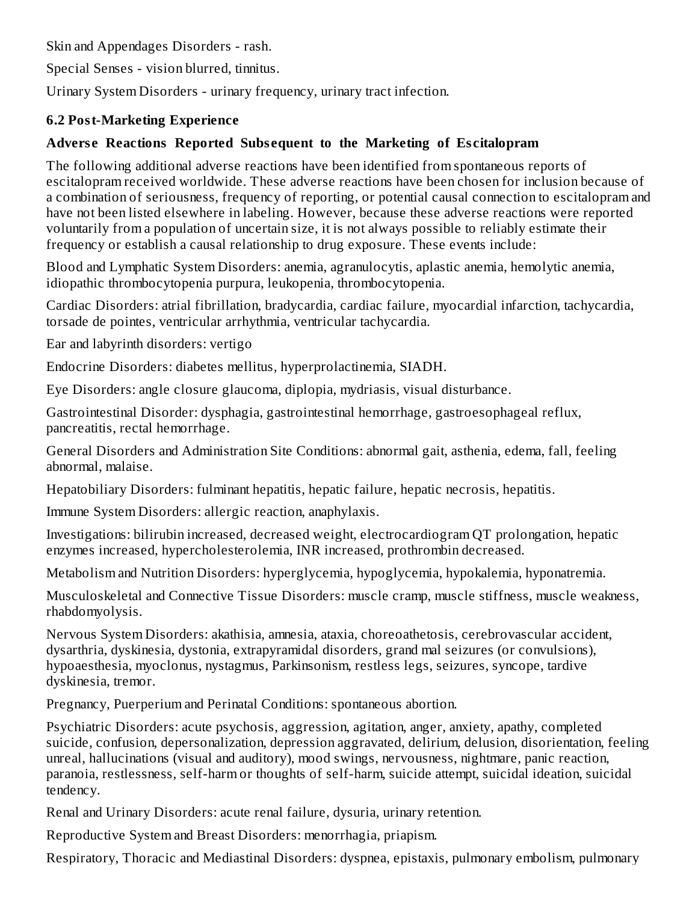Skin and Appendages Disorders - rash.

Special Senses - vision blurred, tinnitus.

Urinary System Disorders - urinary frequency, urinary tract infection.

### **6.2 Post-Marketing Experience**

# **Advers e Reactions Reported Subs equent to the Marketing of Es citalopram**

The following additional adverse reactions have been identified from spontaneous reports of escitalopram received worldwide. These adverse reactions have been chosen for inclusion because of a combination of seriousness, frequency of reporting, or potential causal connection to escitalopram and have not been listed elsewhere in labeling. However, because these adverse reactions were reported voluntarily from a population of uncertain size, it is not always possible to reliably estimate their frequency or establish a causal relationship to drug exposure. These events include:

Blood and Lymphatic System Disorders: anemia, agranulocytis, aplastic anemia, hemolytic anemia, idiopathic thrombocytopenia purpura, leukopenia, thrombocytopenia.

Cardiac Disorders: atrial fibrillation, bradycardia, cardiac failure, myocardial infarction, tachycardia, torsade de pointes, ventricular arrhythmia, ventricular tachycardia.

Ear and labyrinth disorders: vertigo

Endocrine Disorders: diabetes mellitus, hyperprolactinemia, SIADH.

Eye Disorders: angle closure glaucoma, diplopia, mydriasis, visual disturbance.

Gastrointestinal Disorder: dysphagia, gastrointestinal hemorrhage, gastroesophageal reflux, pancreatitis, rectal hemorrhage.

General Disorders and Administration Site Conditions: abnormal gait, asthenia, edema, fall, feeling abnormal, malaise.

Hepatobiliary Disorders: fulminant hepatitis, hepatic failure, hepatic necrosis, hepatitis.

Immune System Disorders: allergic reaction, anaphylaxis.

Investigations: bilirubin increased, decreased weight, electrocardiogram QT prolongation, hepatic enzymes increased, hypercholesterolemia, INR increased, prothrombin decreased.

Metabolism and Nutrition Disorders: hyperglycemia, hypoglycemia, hypokalemia, hyponatremia.

Musculoskeletal and Connective Tissue Disorders: muscle cramp, muscle stiffness, muscle weakness, rhabdomyolysis.

Nervous System Disorders: akathisia, amnesia, ataxia, choreoathetosis, cerebrovascular accident, dysarthria, dyskinesia, dystonia, extrapyramidal disorders, grand mal seizures (or convulsions), hypoaesthesia, myoclonus, nystagmus, Parkinsonism, restless legs, seizures, syncope, tardive dyskinesia, tremor.

Pregnancy, Puerperium and Perinatal Conditions: spontaneous abortion.

Psychiatric Disorders: acute psychosis, aggression, agitation, anger, anxiety, apathy, completed suicide, confusion, depersonalization, depression aggravated, delirium, delusion, disorientation, feeling unreal, hallucinations (visual and auditory), mood swings, nervousness, nightmare, panic reaction, paranoia, restlessness, self-harm or thoughts of self-harm, suicide attempt, suicidal ideation, suicidal tendency.

Renal and Urinary Disorders: acute renal failure, dysuria, urinary retention.

Reproductive System and Breast Disorders: menorrhagia, priapism.

Respiratory, Thoracic and Mediastinal Disorders: dyspnea, epistaxis, pulmonary embolism, pulmonary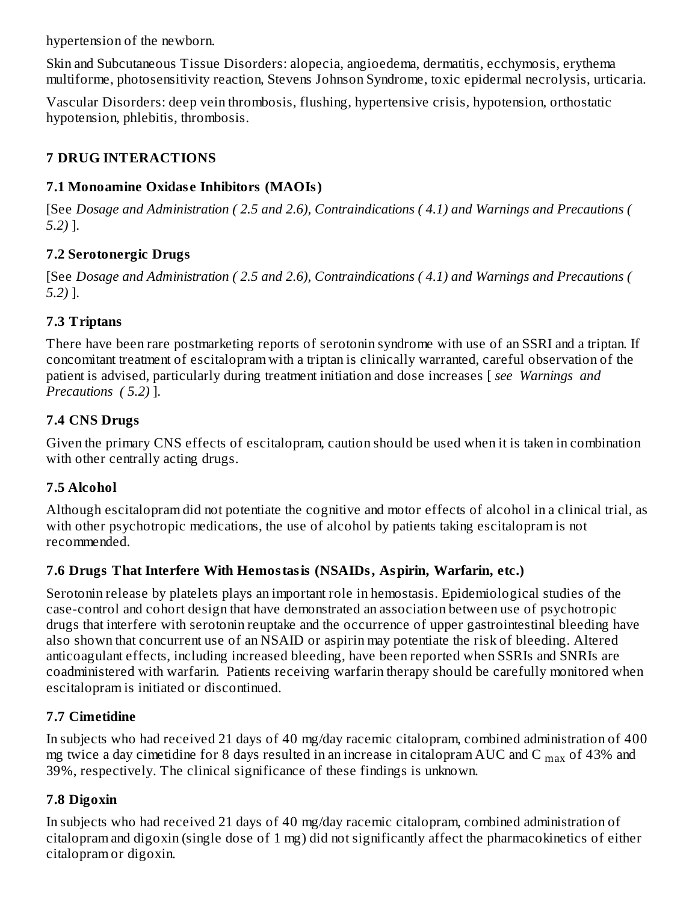hypertension of the newborn.

Skin and Subcutaneous Tissue Disorders: alopecia, angioedema, dermatitis, ecchymosis, erythema multiforme, photosensitivity reaction, Stevens Johnson Syndrome, toxic epidermal necrolysis, urticaria.

Vascular Disorders: deep vein thrombosis, flushing, hypertensive crisis, hypotension, orthostatic hypotension, phlebitis, thrombosis.

# **7 DRUG INTERACTIONS**

# **7.1 Monoamine Oxidas e Inhibitors (MAOIs)**

[See *Dosage and Administration ( 2.5 and 2.6), Contraindications ( 4.1) and Warnings and Precautions ( 5.2)* ].

# **7.2 Serotonergic Drugs**

[See *Dosage and Administration ( 2.5 and 2.6), Contraindications ( 4.1) and Warnings and Precautions ( 5.2)* ].

# **7.3 Triptans**

There have been rare postmarketing reports of serotonin syndrome with use of an SSRI and a triptan. If concomitant treatment of escitalopram with a triptan is clinically warranted, careful observation of the patient is advised, particularly during treatment initiation and dose increases [ *see Warnings and Precautions ( 5.2)* ].

# **7.4 CNS Drugs**

Given the primary CNS effects of escitalopram, caution should be used when it is taken in combination with other centrally acting drugs.

# **7.5 Alcohol**

Although escitalopram did not potentiate the cognitive and motor effects of alcohol in a clinical trial, as with other psychotropic medications, the use of alcohol by patients taking escitalopram is not recommended.

# **7.6 Drugs That Interfere With Hemostasis (NSAIDs, Aspirin, Warfarin, etc.)**

Serotonin release by platelets plays an important role in hemostasis. Epidemiological studies of the case-control and cohort design that have demonstrated an association between use of psychotropic drugs that interfere with serotonin reuptake and the occurrence of upper gastrointestinal bleeding have also shown that concurrent use of an NSAID or aspirin may potentiate the risk of bleeding. Altered anticoagulant effects, including increased bleeding, have been reported when SSRIs and SNRIs are coadministered with warfarin. Patients receiving warfarin therapy should be carefully monitored when escitalopram is initiated or discontinued.

# **7.7 Cimetidine**

In subjects who had received 21 days of 40 mg/day racemic citalopram, combined administration of 400 mg twice a day cimetidine for 8 days resulted in an increase in citalopram AUC and C  $_{\rm max}$  of 43% and 39%, respectively. The clinical significance of these findings is unknown.

# **7.8 Digoxin**

In subjects who had received 21 days of 40 mg/day racemic citalopram, combined administration of citalopram and digoxin (single dose of 1 mg) did not significantly affect the pharmacokinetics of either citalopram or digoxin.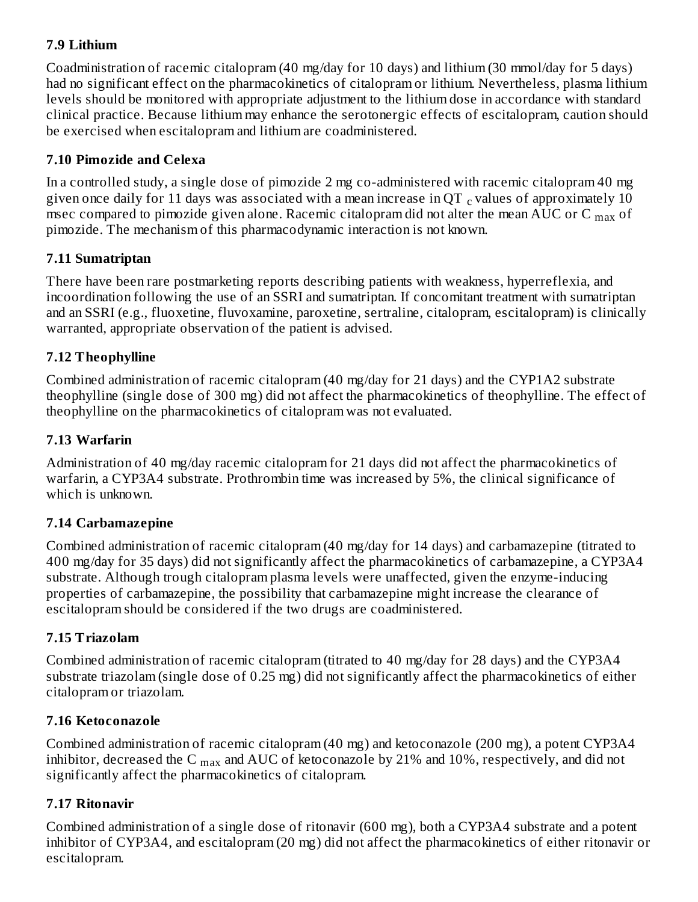### **7.9 Lithium**

Coadministration of racemic citalopram (40 mg/day for 10 days) and lithium (30 mmol/day for 5 days) had no significant effect on the pharmacokinetics of citalopram or lithium. Nevertheless, plasma lithium levels should be monitored with appropriate adjustment to the lithium dose in accordance with standard clinical practice. Because lithium may enhance the serotonergic effects of escitalopram, caution should be exercised when escitalopram and lithium are coadministered.

### **7.10 Pimozide and Celexa**

In a controlled study, a single dose of pimozide 2 mg co-administered with racemic citalopram 40 mg given once daily for 11 days was associated with a mean increase in QT  $_{\rm c}$  values of approximately 10 msec compared to pimozide given alone. Racemic citalopram did not alter the mean AUC or C  $_{\mathrm{max}}$  of pimozide. The mechanism of this pharmacodynamic interaction is not known.

### **7.11 Sumatriptan**

There have been rare postmarketing reports describing patients with weakness, hyperreflexia, and incoordination following the use of an SSRI and sumatriptan. If concomitant treatment with sumatriptan and an SSRI (e.g., fluoxetine, fluvoxamine, paroxetine, sertraline, citalopram, escitalopram) is clinically warranted, appropriate observation of the patient is advised.

# **7.12 Theophylline**

Combined administration of racemic citalopram (40 mg/day for 21 days) and the CYP1A2 substrate theophylline (single dose of 300 mg) did not affect the pharmacokinetics of theophylline. The effect of theophylline on the pharmacokinetics of citalopram was not evaluated.

# **7.13 Warfarin**

Administration of 40 mg/day racemic citalopram for 21 days did not affect the pharmacokinetics of warfarin, a CYP3A4 substrate. Prothrombin time was increased by 5%, the clinical significance of which is unknown.

#### **7.14 Carbamazepine**

Combined administration of racemic citalopram (40 mg/day for 14 days) and carbamazepine (titrated to 400 mg/day for 35 days) did not significantly affect the pharmacokinetics of carbamazepine, a CYP3A4 substrate. Although trough citalopram plasma levels were unaffected, given the enzyme-inducing properties of carbamazepine, the possibility that carbamazepine might increase the clearance of escitalopram should be considered if the two drugs are coadministered.

#### **7.15 Triazolam**

Combined administration of racemic citalopram (titrated to 40 mg/day for 28 days) and the CYP3A4 substrate triazolam (single dose of 0.25 mg) did not significantly affect the pharmacokinetics of either citalopram or triazolam.

# **7.16 Ketoconazole**

Combined administration of racemic citalopram (40 mg) and ketoconazole (200 mg), a potent CYP3A4 inhibitor, decreased the C  $_{\rm max}$  and AUC of ketoconazole by 21% and 10%, respectively, and did not significantly affect the pharmacokinetics of citalopram.

#### **7.17 Ritonavir**

Combined administration of a single dose of ritonavir (600 mg), both a CYP3A4 substrate and a potent inhibitor of CYP3A4, and escitalopram (20 mg) did not affect the pharmacokinetics of either ritonavir or escitalopram.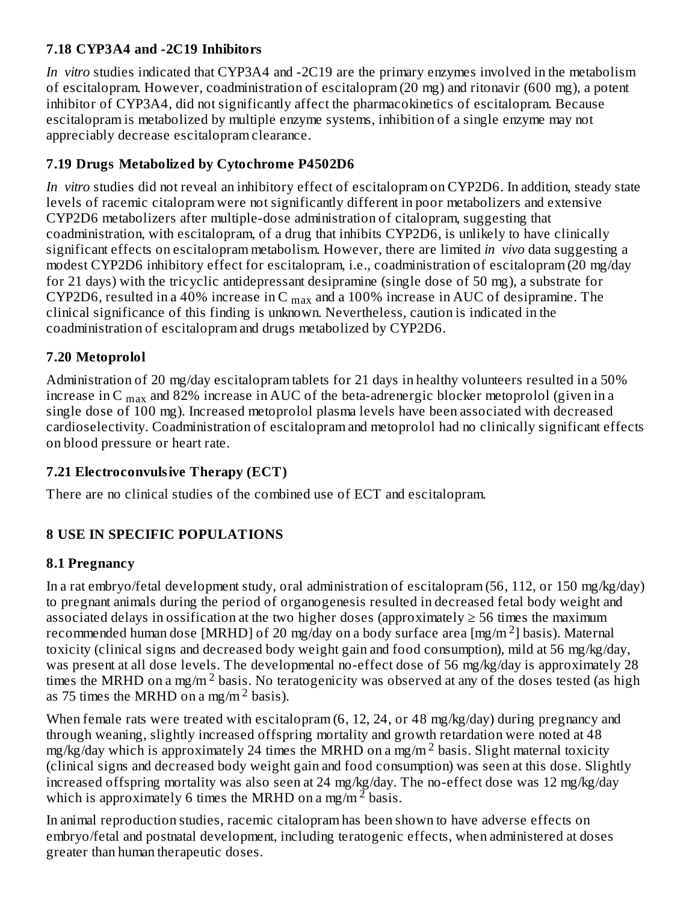# **7.18 CYP3A4 and -2C19 Inhibitors**

*In vitro* studies indicated that CYP3A4 and -2C19 are the primary enzymes involved in the metabolism of escitalopram. However, coadministration of escitalopram (20 mg) and ritonavir (600 mg), a potent inhibitor of CYP3A4, did not significantly affect the pharmacokinetics of escitalopram. Because escitalopram is metabolized by multiple enzyme systems, inhibition of a single enzyme may not appreciably decrease escitalopram clearance.

# **7.19 Drugs Metabolized by Cytochrome P4502D6**

*In vitro* studies did not reveal an inhibitory effect of escitalopram on CYP2D6. In addition, steady state levels of racemic citalopram were not significantly different in poor metabolizers and extensive CYP2D6 metabolizers after multiple-dose administration of citalopram, suggesting that coadministration, with escitalopram, of a drug that inhibits CYP2D6, is unlikely to have clinically significant effects on escitalopram metabolism. However, there are limited *in vivo* data suggesting a modest CYP2D6 inhibitory effect for escitalopram, i.e., coadministration of escitalopram (20 mg/day for 21 days) with the tricyclic antidepressant desipramine (single dose of 50 mg), a substrate for CYP2D6, resulted in a 40% increase in C  $_{\rm max}$  and a 100% increase in AUC of desipramine. The clinical significance of this finding is unknown. Nevertheless, caution is indicated in the coadministration of escitalopram and drugs metabolized by CYP2D6.

# **7.20 Metoprolol**

Administration of 20 mg/day escitalopram tablets for 21 days in healthy volunteers resulted in a 50% increase in C  $_{\rm max}$  and 82% increase in AUC of the beta-adrenergic blocker metoprolol (given in a single dose of 100 mg). Increased metoprolol plasma levels have been associated with decreased cardioselectivity. Coadministration of escitalopram and metoprolol had no clinically significant effects on blood pressure or heart rate.

# **7.21 Electroconvulsive Therapy (ECT)**

There are no clinical studies of the combined use of ECT and escitalopram.

# **8 USE IN SPECIFIC POPULATIONS**

# **8.1 Pregnancy**

In a rat embryo/fetal development study, oral administration of escitalopram (56, 112, or 150 mg/kg/day) to pregnant animals during the period of organogenesis resulted in decreased fetal body weight and associated delays in ossification at the two higher doses (approximately  $\geq$  56 times the maximum recommended human dose [MRHD] of 20 mg/day on a body surface area [mg/m<sup>2</sup>] basis). Maternal toxicity (clinical signs and decreased body weight gain and food consumption), mild at 56 mg/kg/day, was present at all dose levels. The developmental no-effect dose of 56 mg/kg/day is approximately 28 times the MRHD on a mg/m<sup>2</sup> basis. No teratogenicity was observed at any of the doses tested (as high as 75 times the MRHD on a mg/m<sup>2</sup> basis).

When female rats were treated with escitalopram (6, 12, 24, or 48 mg/kg/day) during pregnancy and through weaning, slightly increased offspring mortality and growth retardation were noted at 48 mg/kg/day which is approximately 24 times the MRHD on a mg/m<sup>2</sup> basis. Slight maternal toxicity (clinical signs and decreased body weight gain and food consumption) was seen at this dose. Slightly increased offspring mortality was also seen at 24 mg/kg/day. The no-effect dose was 12 mg/kg/day which is approximately 6 times the MRHD on a mg/m<sup>2</sup> basis.

In animal reproduction studies, racemic citalopram has been shown to have adverse effects on embryo/fetal and postnatal development, including teratogenic effects, when administered at doses greater than human therapeutic doses.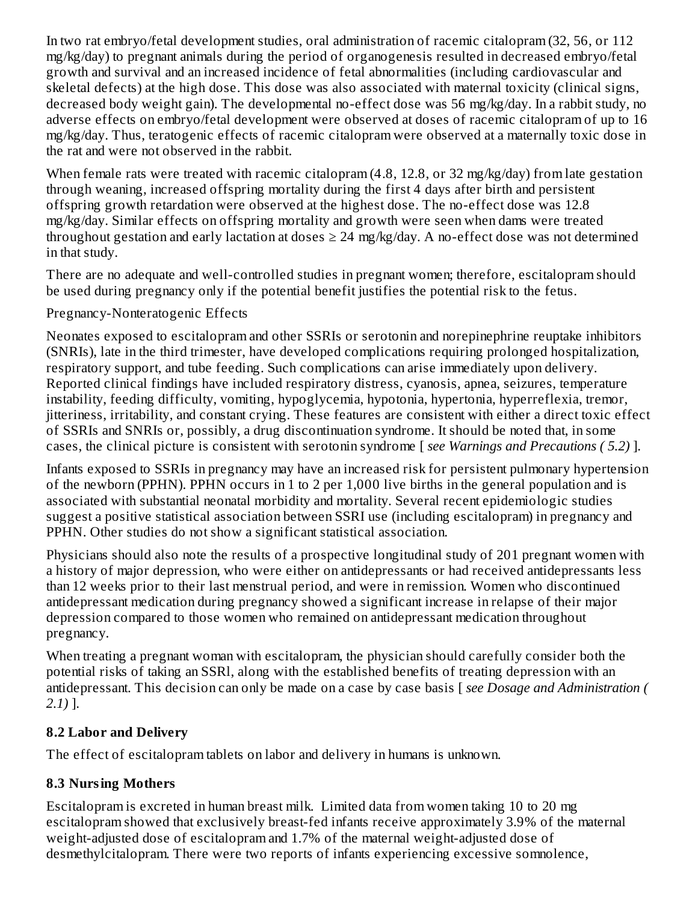In two rat embryo/fetal development studies, oral administration of racemic citalopram (32, 56, or 112 mg/kg/day) to pregnant animals during the period of organogenesis resulted in decreased embryo/fetal growth and survival and an increased incidence of fetal abnormalities (including cardiovascular and skeletal defects) at the high dose. This dose was also associated with maternal toxicity (clinical signs, decreased body weight gain). The developmental no-effect dose was 56 mg/kg/day. In a rabbit study, no adverse effects on embryo/fetal development were observed at doses of racemic citalopram of up to 16 mg/kg/day. Thus, teratogenic effects of racemic citalopram were observed at a maternally toxic dose in the rat and were not observed in the rabbit.

When female rats were treated with racemic citalopram (4.8, 12.8, or 32 mg/kg/day) from late gestation through weaning, increased offspring mortality during the first 4 days after birth and persistent offspring growth retardation were observed at the highest dose. The no-effect dose was 12.8 mg/kg/day. Similar effects on offspring mortality and growth were seen when dams were treated throughout gestation and early lactation at doses  $\geq 24$  mg/kg/day. A no-effect dose was not determined in that study.

There are no adequate and well-controlled studies in pregnant women; therefore, escitalopram should be used during pregnancy only if the potential benefit justifies the potential risk to the fetus.

#### Pregnancy-Nonteratogenic Effects

Neonates exposed to escitalopram and other SSRIs or serotonin and norepinephrine reuptake inhibitors (SNRIs), late in the third trimester, have developed complications requiring prolonged hospitalization, respiratory support, and tube feeding. Such complications can arise immediately upon delivery. Reported clinical findings have included respiratory distress, cyanosis, apnea, seizures, temperature instability, feeding difficulty, vomiting, hypoglycemia, hypotonia, hypertonia, hyperreflexia, tremor, jitteriness, irritability, and constant crying. These features are consistent with either a direct toxic effect of SSRIs and SNRIs or, possibly, a drug discontinuation syndrome. It should be noted that, in some cases, the clinical picture is consistent with serotonin syndrome [ *see Warnings and Precautions ( 5.2)* ].

Infants exposed to SSRIs in pregnancy may have an increased risk for persistent pulmonary hypertension of the newborn (PPHN). PPHN occurs in 1 to 2 per 1,000 live births in the general population and is associated with substantial neonatal morbidity and mortality. Several recent epidemiologic studies suggest a positive statistical association between SSRI use (including escitalopram) in pregnancy and PPHN. Other studies do not show a significant statistical association.

Physicians should also note the results of a prospective longitudinal study of 201 pregnant women with a history of major depression, who were either on antidepressants or had received antidepressants less than 12 weeks prior to their last menstrual period, and were in remission. Women who discontinued antidepressant medication during pregnancy showed a significant increase in relapse of their major depression compared to those women who remained on antidepressant medication throughout pregnancy.

When treating a pregnant woman with escitalopram, the physician should carefully consider both the potential risks of taking an SSRl, along with the established benefits of treating depression with an antidepressant. This decision can only be made on a case by case basis [ *see Dosage and Administration ( 2.1)* ].

# **8.2 Labor and Delivery**

The effect of escitalopram tablets on labor and delivery in humans is unknown.

# **8.3 Nursing Mothers**

Escitalopram is excreted in human breast milk. Limited data from women taking 10 to 20 mg escitalopram showed that exclusively breast-fed infants receive approximately 3.9% of the maternal weight-adjusted dose of escitalopram and 1.7% of the maternal weight-adjusted dose of desmethylcitalopram. There were two reports of infants experiencing excessive somnolence,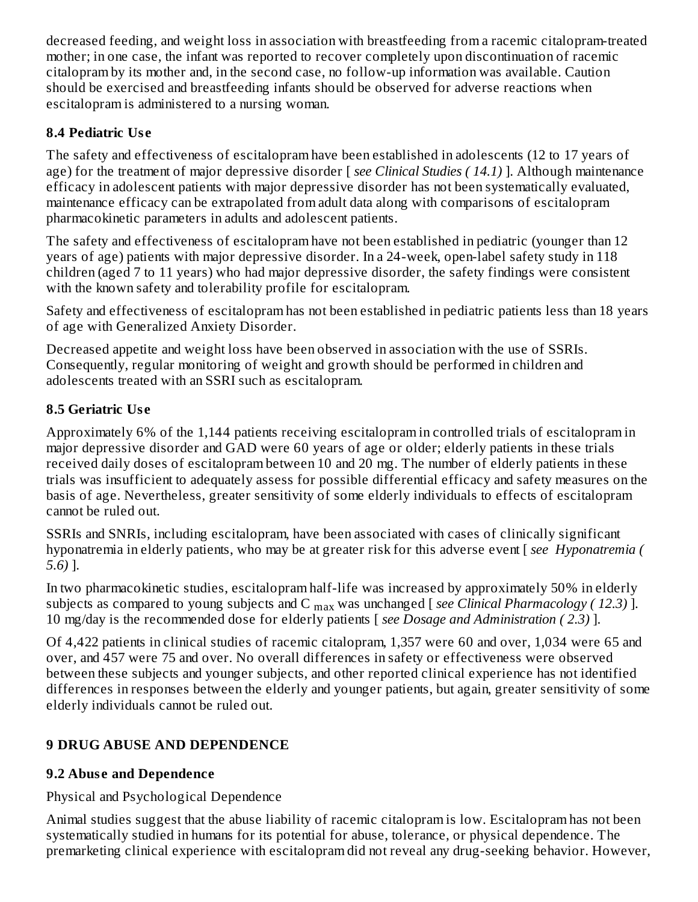decreased feeding, and weight loss in association with breastfeeding from a racemic citalopram-treated mother; in one case, the infant was reported to recover completely upon discontinuation of racemic citalopram by its mother and, in the second case, no follow-up information was available. Caution should be exercised and breastfeeding infants should be observed for adverse reactions when escitalopram is administered to a nursing woman.

# **8.4 Pediatric Us e**

The safety and effectiveness of escitalopram have been established in adolescents (12 to 17 years of age) for the treatment of major depressive disorder [ *see Clinical Studies ( 14.1)* ]. Although maintenance efficacy in adolescent patients with major depressive disorder has not been systematically evaluated, maintenance efficacy can be extrapolated from adult data along with comparisons of escitalopram pharmacokinetic parameters in adults and adolescent patients.

The safety and effectiveness of escitalopram have not been established in pediatric (younger than 12 years of age) patients with major depressive disorder. In a 24-week, open-label safety study in 118 children (aged 7 to 11 years) who had major depressive disorder, the safety findings were consistent with the known safety and tolerability profile for escitalopram.

Safety and effectiveness of escitalopram has not been established in pediatric patients less than 18 years of age with Generalized Anxiety Disorder.

Decreased appetite and weight loss have been observed in association with the use of SSRIs. Consequently, regular monitoring of weight and growth should be performed in children and adolescents treated with an SSRI such as escitalopram.

# **8.5 Geriatric Us e**

Approximately 6% of the 1,144 patients receiving escitalopram in controlled trials of escitalopram in major depressive disorder and GAD were 60 years of age or older; elderly patients in these trials received daily doses of escitalopram between 10 and 20 mg. The number of elderly patients in these trials was insufficient to adequately assess for possible differential efficacy and safety measures on the basis of age. Nevertheless, greater sensitivity of some elderly individuals to effects of escitalopram cannot be ruled out.

SSRIs and SNRIs, including escitalopram, have been associated with cases of clinically significant hyponatremia in elderly patients, who may be at greater risk for this adverse event [ *see Hyponatremia ( 5.6)* ].

In two pharmacokinetic studies, escitalopram half-life was increased by approximately 50% in elderly subjects as compared to young subjects and C  $_{\rm max}$  was unchanged [ *see Clinical Pharmacology ( 12.3)* ]. 10 mg/day is the recommended dose for elderly patients [ *see Dosage and Administration ( 2.3)* ].

Of 4,422 patients in clinical studies of racemic citalopram, 1,357 were 60 and over, 1,034 were 65 and over, and 457 were 75 and over. No overall differences in safety or effectiveness were observed between these subjects and younger subjects, and other reported clinical experience has not identified differences in responses between the elderly and younger patients, but again, greater sensitivity of some elderly individuals cannot be ruled out.

# **9 DRUG ABUSE AND DEPENDENCE**

# **9.2 Abus e and Dependence**

Physical and Psychological Dependence

Animal studies suggest that the abuse liability of racemic citalopram is low. Escitalopram has not been systematically studied in humans for its potential for abuse, tolerance, or physical dependence. The premarketing clinical experience with escitalopram did not reveal any drug-seeking behavior. However,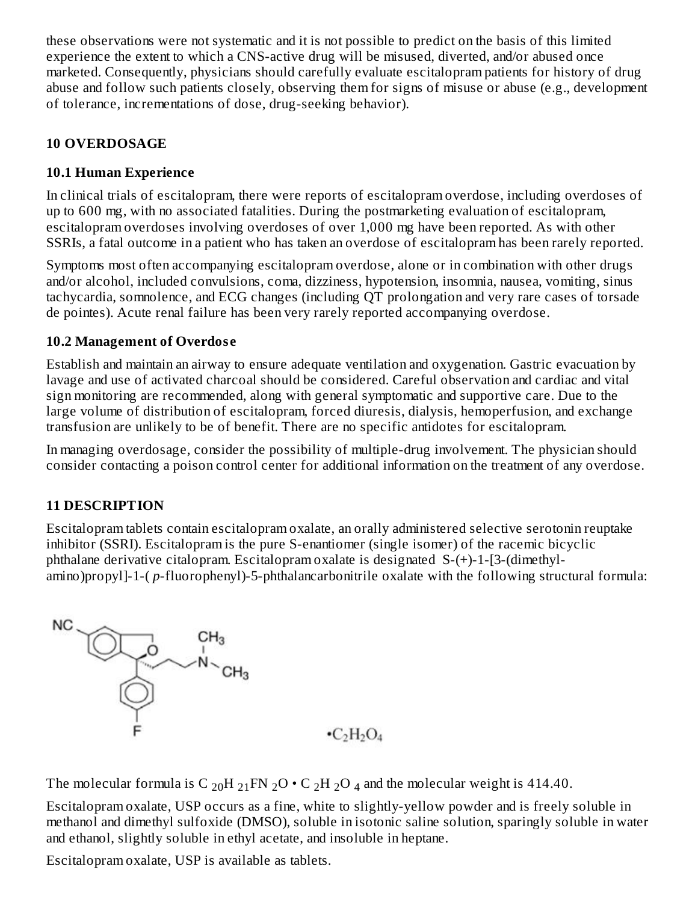these observations were not systematic and it is not possible to predict on the basis of this limited experience the extent to which a CNS-active drug will be misused, diverted, and/or abused once marketed. Consequently, physicians should carefully evaluate escitalopram patients for history of drug abuse and follow such patients closely, observing them for signs of misuse or abuse (e.g., development of tolerance, incrementations of dose, drug-seeking behavior).

# **10 OVERDOSAGE**

# **10.1 Human Experience**

In clinical trials of escitalopram, there were reports of escitalopram overdose, including overdoses of up to 600 mg, with no associated fatalities. During the postmarketing evaluation of escitalopram, escitalopram overdoses involving overdoses of over 1,000 mg have been reported. As with other SSRIs, a fatal outcome in a patient who has taken an overdose of escitalopram has been rarely reported.

Symptoms most often accompanying escitalopram overdose, alone or in combination with other drugs and/or alcohol, included convulsions, coma, dizziness, hypotension, insomnia, nausea, vomiting, sinus tachycardia, somnolence, and ECG changes (including QT prolongation and very rare cases of torsade de pointes). Acute renal failure has been very rarely reported accompanying overdose.

# **10.2 Management of Overdos e**

Establish and maintain an airway to ensure adequate ventilation and oxygenation. Gastric evacuation by lavage and use of activated charcoal should be considered. Careful observation and cardiac and vital sign monitoring are recommended, along with general symptomatic and supportive care. Due to the large volume of distribution of escitalopram, forced diuresis, dialysis, hemoperfusion, and exchange transfusion are unlikely to be of benefit. There are no specific antidotes for escitalopram.

In managing overdosage, consider the possibility of multiple-drug involvement. The physician should consider contacting a poison control center for additional information on the treatment of any overdose.

# **11 DESCRIPTION**

Escitalopram tablets contain escitalopram oxalate, an orally administered selective serotonin reuptake inhibitor (SSRI). Escitalopram is the pure S-enantiomer (single isomer) of the racemic bicyclic phthalane derivative citalopram. Escitalopram oxalate is designated S-(+)-1-[3-(dimethylamino)propyl]-1-( *p*-fluorophenyl)-5-phthalancarbonitrile oxalate with the following structural formula:



The molecular formula is C  $_{20}$ H  $_{21}$ FN  $_{2}$ O  $\cdot$  C  $_{2}$ H  $_{2}$ O  $_{4}$  and the molecular weight is 414.40.

Escitalopram oxalate, USP occurs as a fine, white to slightly-yellow powder and is freely soluble in methanol and dimethyl sulfoxide (DMSO), soluble in isotonic saline solution, sparingly soluble in water and ethanol, slightly soluble in ethyl acetate, and insoluble in heptane.

Escitalopram oxalate, USP is available as tablets.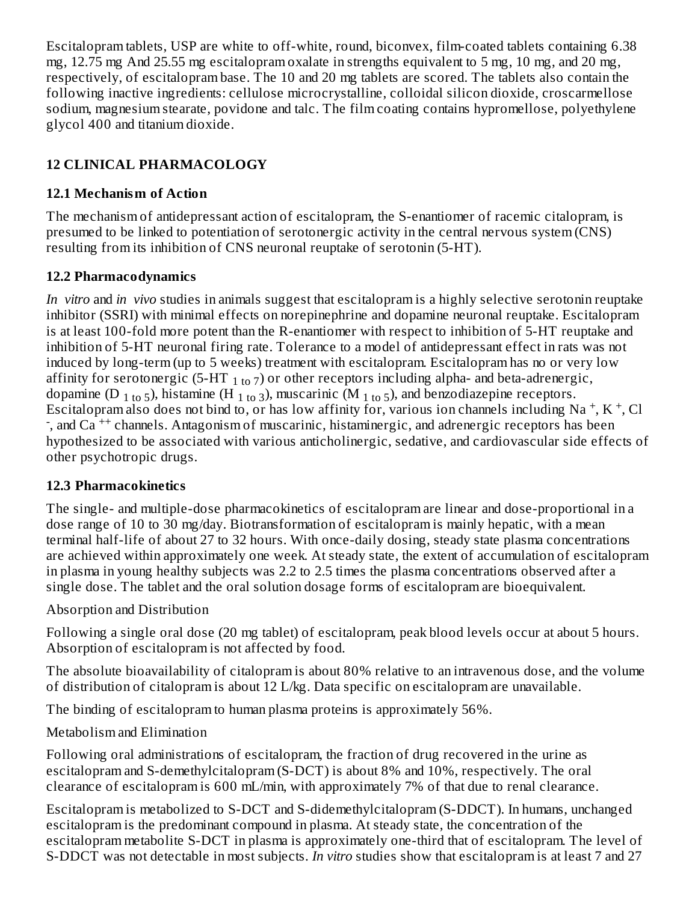Escitalopram tablets, USP are white to off-white, round, biconvex, film-coated tablets containing 6.38 mg, 12.75 mg And 25.55 mg escitalopram oxalate in strengths equivalent to 5 mg, 10 mg, and 20 mg, respectively, of escitalopram base. The 10 and 20 mg tablets are scored. The tablets also contain the following inactive ingredients: cellulose microcrystalline, colloidal silicon dioxide, croscarmellose sodium, magnesium stearate, povidone and talc. The film coating contains hypromellose, polyethylene glycol 400 and titanium dioxide.

# **12 CLINICAL PHARMACOLOGY**

# **12.1 Mechanism of Action**

The mechanism of antidepressant action of escitalopram, the S-enantiomer of racemic citalopram, is presumed to be linked to potentiation of serotonergic activity in the central nervous system (CNS) resulting from its inhibition of CNS neuronal reuptake of serotonin (5-HT).

# **12.2 Pharmacodynamics**

*In vitro* and *in vivo* studies in animals suggest that escitalopram is a highly selective serotonin reuptake inhibitor (SSRI) with minimal effects on norepinephrine and dopamine neuronal reuptake. Escitalopram is at least 100-fold more potent than the R-enantiomer with respect to inhibition of 5-HT reuptake and inhibition of 5-HT neuronal firing rate. Tolerance to a model of antidepressant effect in rats was not induced by long-term (up to 5 weeks) treatment with escitalopram. Escitalopram has no or very low affinity for serotonergic (5-HT  $_{\rm 1\,to\,7})$  or other receptors including alpha- and beta-adrenergic, dopamine (D  $_{1 \text{ to } 5}$ ), histamine (H  $_{1 \text{ to } 3}$ ), muscarinic (M  $_{1 \text{ to } 5}$ ), and benzodiazepine receptors. Escitalopram also does not bind to, or has low affinity for, various ion channels including Na<sup>+</sup>, K<sup>+</sup>, Cl  $\cdot$ , and Ca<sup>++</sup> channels. Antagonism of muscarinic, histaminergic, and adrenergic receptors has been hypothesized to be associated with various anticholinergic, sedative, and cardiovascular side effects of other psychotropic drugs.

# **12.3 Pharmacokinetics**

The single- and multiple-dose pharmacokinetics of escitalopram are linear and dose-proportional in a dose range of 10 to 30 mg/day. Biotransformation of escitalopram is mainly hepatic, with a mean terminal half-life of about 27 to 32 hours. With once-daily dosing, steady state plasma concentrations are achieved within approximately one week. At steady state, the extent of accumulation of escitalopram in plasma in young healthy subjects was 2.2 to 2.5 times the plasma concentrations observed after a single dose. The tablet and the oral solution dosage forms of escitalopram are bioequivalent.

# Absorption and Distribution

Following a single oral dose (20 mg tablet) of escitalopram, peak blood levels occur at about 5 hours. Absorption of escitalopram is not affected by food.

The absolute bioavailability of citalopram is about 80% relative to an intravenous dose, and the volume of distribution of citalopram is about 12 L/kg. Data specific on escitalopram are unavailable.

The binding of escitalopram to human plasma proteins is approximately 56%.

# Metabolism and Elimination

Following oral administrations of escitalopram, the fraction of drug recovered in the urine as escitalopram and S-demethylcitalopram (S-DCT) is about 8% and 10%, respectively. The oral clearance of escitalopram is 600 mL/min, with approximately 7% of that due to renal clearance.

Escitalopram is metabolized to S-DCT and S-didemethylcitalopram (S-DDCT). In humans, unchanged escitalopram is the predominant compound in plasma. At steady state, the concentration of the escitalopram metabolite S-DCT in plasma is approximately one-third that of escitalopram. The level of S-DDCT was not detectable in most subjects. *In vitro* studies show that escitalopram is at least 7 and 27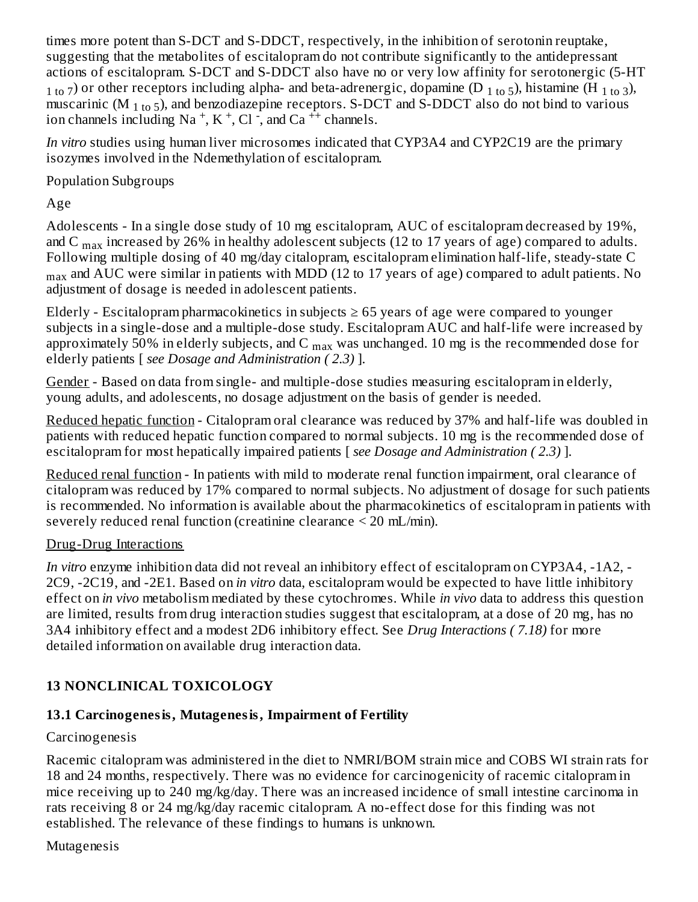times more potent than S-DCT and S-DDCT, respectively, in the inhibition of serotonin reuptake, suggesting that the metabolites of escitalopram do not contribute significantly to the antidepressant actions of escitalopram. S-DCT and S-DDCT also have no or very low affinity for serotonergic (5-HT  $_1$  to 7) or other receptors including alpha- and beta-adrenergic, dopamine (D  $_1$  to 5), histamine (H  $_1$  to 3), muscarinic (M  $_{\rm 1\,to\,5}$ ), and benzodiazepine receptors. S-DCT and S-DDCT also do not bind to various ion channels including Na<sup>+</sup>, K<sup>+</sup>, Cl<sup>-</sup>, and Ca<sup>++</sup> channels.

*In vitro* studies using human liver microsomes indicated that CYP3A4 and CYP2C19 are the primary isozymes involved in the Ndemethylation of escitalopram.

Population Subgroups

Age

Adolescents - In a single dose study of 10 mg escitalopram, AUC of escitalopram decreased by 19%, and C  $_{\rm max}$  increased by 26% in healthy adolescent subjects (12 to 17 years of age) compared to adults. Following multiple dosing of 40 mg/day citalopram, escitalopram elimination half-life, steady-state C  $_{\rm max}$  and AUC were similar in patients with MDD (12 to 17 years of age) compared to adult patients. No adjustment of dosage is needed in adolescent patients.

Elderly - Escitalopram pharmacokinetics in subjects  $\geq$  65 years of age were compared to younger subjects in a single-dose and a multiple-dose study. Escitalopram AUC and half-life were increased by approximately 50% in elderly subjects, and C  $_{\rm max}$  was unchanged. 10 mg is the recommended dose for elderly patients [ *see Dosage and Administration ( 2.3)* ].

Gender - Based on data from single- and multiple-dose studies measuring escitalopram in elderly, young adults, and adolescents, no dosage adjustment on the basis of gender is needed.

Reduced hepatic function - Citalopram oral clearance was reduced by 37% and half-life was doubled in patients with reduced hepatic function compared to normal subjects. 10 mg is the recommended dose of escitalopram for most hepatically impaired patients [ *see Dosage and Administration ( 2.3)* ].

Reduced renal function - In patients with mild to moderate renal function impairment, oral clearance of citalopram was reduced by 17% compared to normal subjects. No adjustment of dosage for such patients is recommended. No information is available about the pharmacokinetics of escitalopram in patients with severely reduced renal function (creatinine clearance < 20 mL/min).

# Drug-Drug Interactions

*In vitro* enzyme inhibition data did not reveal an inhibitory effect of escitalopram on CYP3A4, -1A2, - 2C9, -2C19, and -2E1. Based on *in vitro* data, escitalopram would be expected to have little inhibitory effect on *in vivo* metabolism mediated by these cytochromes. While *in vivo* data to address this question are limited, results from drug interaction studies suggest that escitalopram, at a dose of 20 mg, has no 3A4 inhibitory effect and a modest 2D6 inhibitory effect. See *Drug Interactions ( 7.18)* for more detailed information on available drug interaction data.

# **13 NONCLINICAL TOXICOLOGY**

# **13.1 Carcinogenesis, Mutagenesis, Impairment of Fertility**

# Carcinogenesis

Racemic citalopram was administered in the diet to NMRI/BOM strain mice and COBS WI strain rats for 18 and 24 months, respectively. There was no evidence for carcinogenicity of racemic citalopram in mice receiving up to 240 mg/kg/day. There was an increased incidence of small intestine carcinoma in rats receiving 8 or 24 mg/kg/day racemic citalopram. A no-effect dose for this finding was not established. The relevance of these findings to humans is unknown.

Mutagenesis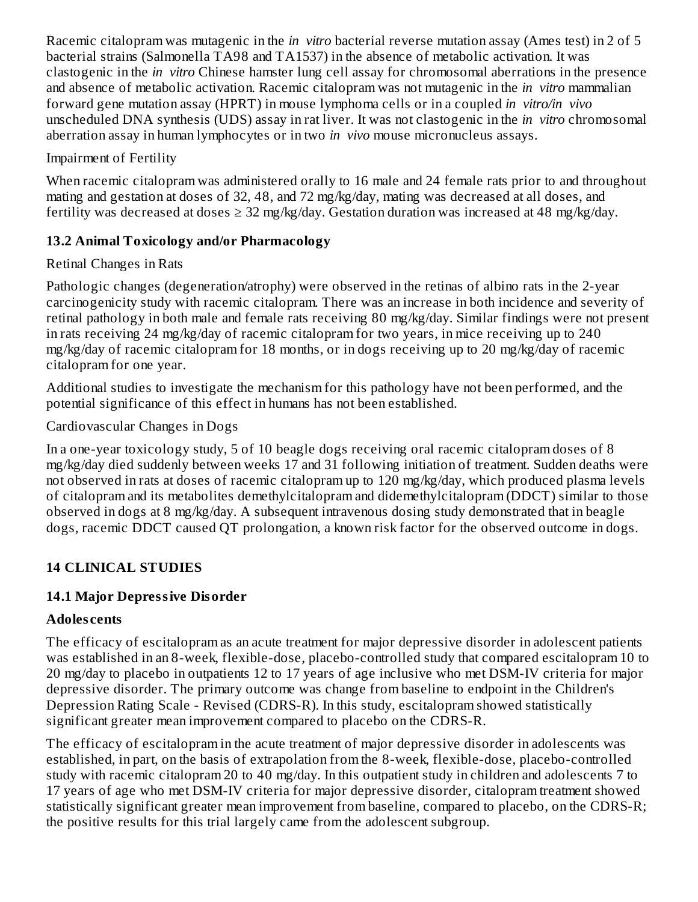Racemic citalopram was mutagenic in the *in vitro* bacterial reverse mutation assay (Ames test) in 2 of 5 bacterial strains (Salmonella TA98 and TA1537) in the absence of metabolic activation. It was clastogenic in the *in vitro* Chinese hamster lung cell assay for chromosomal aberrations in the presence and absence of metabolic activation. Racemic citalopram was not mutagenic in the *in vitro* mammalian forward gene mutation assay (HPRT) in mouse lymphoma cells or in a coupled *in vitro/in vivo* unscheduled DNA synthesis (UDS) assay in rat liver. It was not clastogenic in the *in vitro* chromosomal aberration assay in human lymphocytes or in two *in vivo* mouse micronucleus assays.

#### Impairment of Fertility

When racemic citalopram was administered orally to 16 male and 24 female rats prior to and throughout mating and gestation at doses of 32, 48, and 72 mg/kg/day, mating was decreased at all doses, and fertility was decreased at doses  $\geq$  32 mg/kg/day. Gestation duration was increased at 48 mg/kg/day.

# **13.2 Animal Toxicology and/or Pharmacology**

# Retinal Changes in Rats

Pathologic changes (degeneration/atrophy) were observed in the retinas of albino rats in the 2-year carcinogenicity study with racemic citalopram. There was an increase in both incidence and severity of retinal pathology in both male and female rats receiving 80 mg/kg/day. Similar findings were not present in rats receiving 24 mg/kg/day of racemic citalopram for two years, in mice receiving up to 240 mg/kg/day of racemic citalopram for 18 months, or in dogs receiving up to 20 mg/kg/day of racemic citalopram for one year.

Additional studies to investigate the mechanism for this pathology have not been performed, and the potential significance of this effect in humans has not been established.

# Cardiovascular Changes in Dogs

In a one-year toxicology study, 5 of 10 beagle dogs receiving oral racemic citalopram doses of 8 mg/kg/day died suddenly between weeks 17 and 31 following initiation of treatment. Sudden deaths were not observed in rats at doses of racemic citalopram up to 120 mg/kg/day, which produced plasma levels of citalopram and its metabolites demethylcitalopram and didemethylcitalopram (DDCT) similar to those observed in dogs at 8 mg/kg/day. A subsequent intravenous dosing study demonstrated that in beagle dogs, racemic DDCT caused QT prolongation, a known risk factor for the observed outcome in dogs.

# **14 CLINICAL STUDIES**

# **14.1 Major Depressive Disorder**

# **Adoles cents**

The efficacy of escitalopram as an acute treatment for major depressive disorder in adolescent patients was established in an 8-week, flexible-dose, placebo-controlled study that compared escitalopram 10 to 20 mg/day to placebo in outpatients 12 to 17 years of age inclusive who met DSM-IV criteria for major depressive disorder. The primary outcome was change from baseline to endpoint in the Children's Depression Rating Scale - Revised (CDRS-R). In this study, escitalopram showed statistically significant greater mean improvement compared to placebo on the CDRS-R.

The efficacy of escitalopram in the acute treatment of major depressive disorder in adolescents was established, in part, on the basis of extrapolation from the 8-week, flexible-dose, placebo-controlled study with racemic citalopram 20 to 40 mg/day. In this outpatient study in children and adolescents 7 to 17 years of age who met DSM-IV criteria for major depressive disorder, citalopram treatment showed statistically significant greater mean improvement from baseline, compared to placebo, on the CDRS-R; the positive results for this trial largely came from the adolescent subgroup.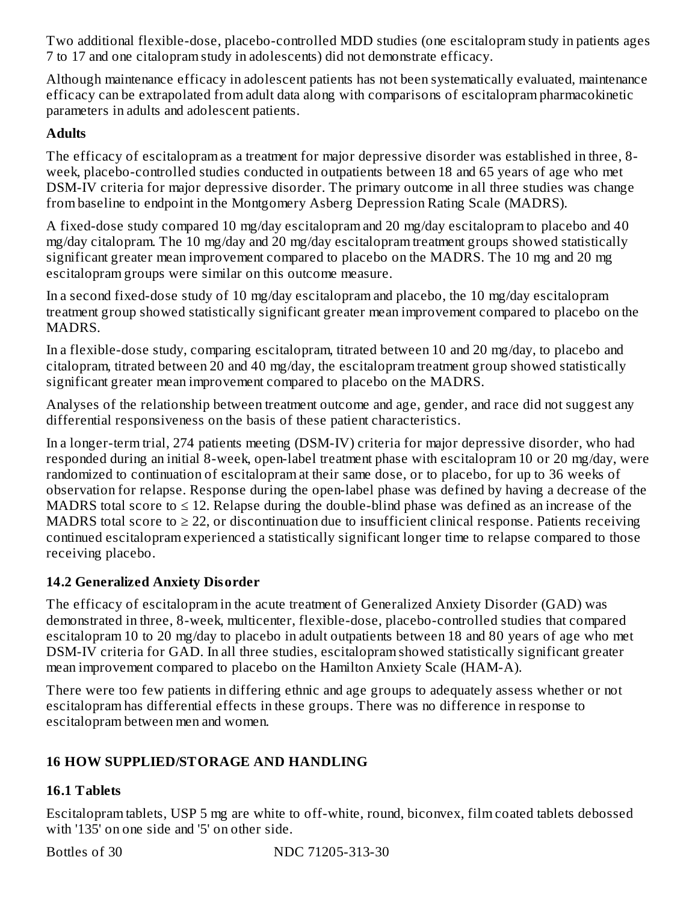Two additional flexible-dose, placebo-controlled MDD studies (one escitalopram study in patients ages 7 to 17 and one citalopram study in adolescents) did not demonstrate efficacy.

Although maintenance efficacy in adolescent patients has not been systematically evaluated, maintenance efficacy can be extrapolated from adult data along with comparisons of escitalopram pharmacokinetic parameters in adults and adolescent patients.

# **Adults**

The efficacy of escitalopram as a treatment for major depressive disorder was established in three, 8 week, placebo-controlled studies conducted in outpatients between 18 and 65 years of age who met DSM-IV criteria for major depressive disorder. The primary outcome in all three studies was change from baseline to endpoint in the Montgomery Asberg Depression Rating Scale (MADRS).

A fixed-dose study compared 10 mg/day escitalopram and 20 mg/day escitalopram to placebo and 40 mg/day citalopram. The 10 mg/day and 20 mg/day escitalopram treatment groups showed statistically significant greater mean improvement compared to placebo on the MADRS. The 10 mg and 20 mg escitalopram groups were similar on this outcome measure.

In a second fixed-dose study of 10 mg/day escitalopram and placebo, the 10 mg/day escitalopram treatment group showed statistically significant greater mean improvement compared to placebo on the MADRS.

In a flexible-dose study, comparing escitalopram, titrated between 10 and 20 mg/day, to placebo and citalopram, titrated between 20 and 40 mg/day, the escitalopram treatment group showed statistically significant greater mean improvement compared to placebo on the MADRS.

Analyses of the relationship between treatment outcome and age, gender, and race did not suggest any differential responsiveness on the basis of these patient characteristics.

In a longer-term trial, 274 patients meeting (DSM-IV) criteria for major depressive disorder, who had responded during an initial 8-week, open-label treatment phase with escitalopram 10 or 20 mg/day, were randomized to continuation of escitalopram at their same dose, or to placebo, for up to 36 weeks of observation for relapse. Response during the open-label phase was defined by having a decrease of the MADRS total score to  $\leq 12$ . Relapse during the double-blind phase was defined as an increase of the MADRS total score to  $\geq 22$ , or discontinuation due to insufficient clinical response. Patients receiving continued escitalopram experienced a statistically significant longer time to relapse compared to those receiving placebo.

# **14.2 Generalized Anxiety Disorder**

The efficacy of escitalopram in the acute treatment of Generalized Anxiety Disorder (GAD) was demonstrated in three, 8-week, multicenter, flexible-dose, placebo-controlled studies that compared escitalopram 10 to 20 mg/day to placebo in adult outpatients between 18 and 80 years of age who met DSM-IV criteria for GAD. In all three studies, escitalopram showed statistically significant greater mean improvement compared to placebo on the Hamilton Anxiety Scale (HAM-A).

There were too few patients in differing ethnic and age groups to adequately assess whether or not escitalopram has differential effects in these groups. There was no difference in response to escitalopram between men and women.

# **16 HOW SUPPLIED/STORAGE AND HANDLING**

#### **16.1 Tablets**

Escitalopram tablets, USP 5 mg are white to off-white, round, biconvex, film coated tablets debossed with '135' on one side and '5' on other side.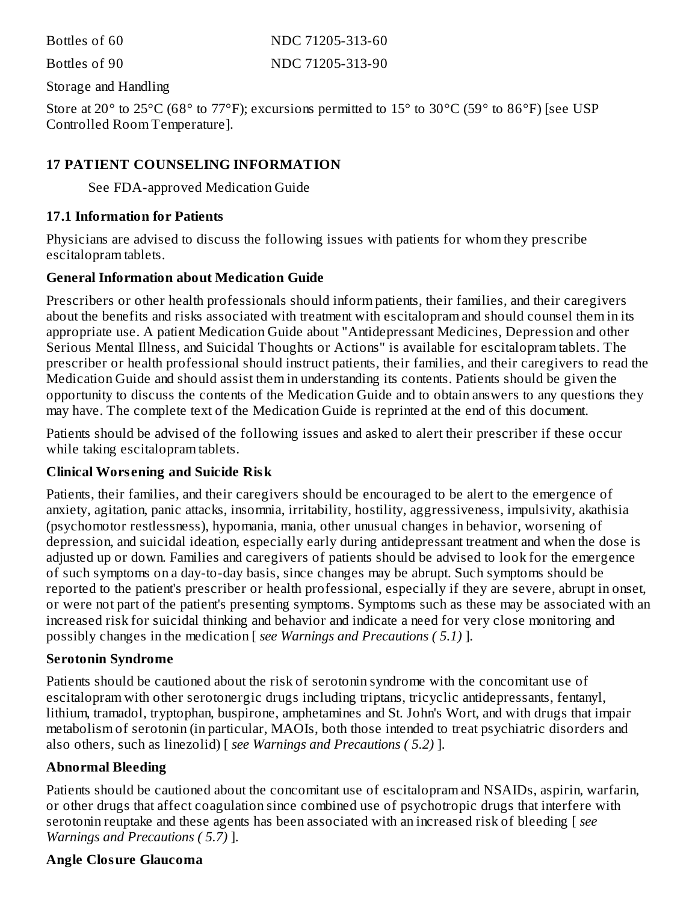| Bottles of 60 | NDC 71205-313-60 |
|---------------|------------------|
| Bottles of 90 | NDC 71205-313-90 |

Storage and Handling

Store at 20 $^{\circ}$  to 25 $^{\circ}$ C (68 $^{\circ}$  to 77 $^{\circ}$ F); excursions permitted to 15 $^{\circ}$  to 30 $^{\circ}$ C (59 $^{\circ}$  to 86 $^{\circ}$ F) [see USP Controlled Room Temperature].

### **17 PATIENT COUNSELING INFORMATION**

See FDA-approved Medication Guide

#### **17.1 Information for Patients**

Physicians are advised to discuss the following issues with patients for whom they prescribe escitalopram tablets.

### **General Information about Medication Guide**

Prescribers or other health professionals should inform patients, their families, and their caregivers about the benefits and risks associated with treatment with escitalopram and should counsel them in its appropriate use. A patient Medication Guide about "Antidepressant Medicines, Depression and other Serious Mental Illness, and Suicidal Thoughts or Actions" is available for escitalopram tablets. The prescriber or health professional should instruct patients, their families, and their caregivers to read the Medication Guide and should assist them in understanding its contents. Patients should be given the opportunity to discuss the contents of the Medication Guide and to obtain answers to any questions they may have. The complete text of the Medication Guide is reprinted at the end of this document.

Patients should be advised of the following issues and asked to alert their prescriber if these occur while taking escitalopram tablets.

# **Clinical Wors ening and Suicide Risk**

Patients, their families, and their caregivers should be encouraged to be alert to the emergence of anxiety, agitation, panic attacks, insomnia, irritability, hostility, aggressiveness, impulsivity, akathisia (psychomotor restlessness), hypomania, mania, other unusual changes in behavior, worsening of depression, and suicidal ideation, especially early during antidepressant treatment and when the dose is adjusted up or down. Families and caregivers of patients should be advised to look for the emergence of such symptoms on a day-to-day basis, since changes may be abrupt. Such symptoms should be reported to the patient's prescriber or health professional, especially if they are severe, abrupt in onset, or were not part of the patient's presenting symptoms. Symptoms such as these may be associated with an increased risk for suicidal thinking and behavior and indicate a need for very close monitoring and possibly changes in the medication [ *see Warnings and Precautions ( 5.1)* ].

# **Serotonin Syndrome**

Patients should be cautioned about the risk of serotonin syndrome with the concomitant use of escitalopram with other serotonergic drugs including triptans, tricyclic antidepressants, fentanyl, lithium, tramadol, tryptophan, buspirone, amphetamines and St. John's Wort, and with drugs that impair metabolism of serotonin (in particular, MAOIs, both those intended to treat psychiatric disorders and also others, such as linezolid) [ *see Warnings and Precautions ( 5.2)* ].

# **Abnormal Bleeding**

Patients should be cautioned about the concomitant use of escitalopram and NSAIDs, aspirin, warfarin, or other drugs that affect coagulation since combined use of psychotropic drugs that interfere with serotonin reuptake and these agents has been associated with an increased risk of bleeding [ *see Warnings and Precautions ( 5.7)* ].

#### **Angle Closure Glaucoma**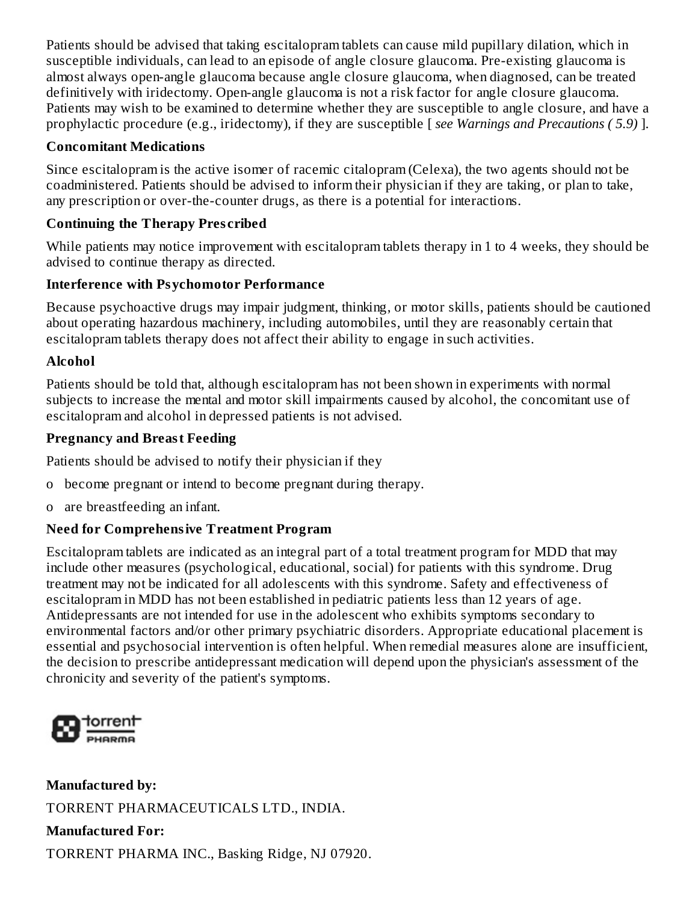Patients should be advised that taking escitalopram tablets can cause mild pupillary dilation, which in susceptible individuals, can lead to an episode of angle closure glaucoma. Pre-existing glaucoma is almost always open-angle glaucoma because angle closure glaucoma, when diagnosed, can be treated definitively with iridectomy. Open-angle glaucoma is not a risk factor for angle closure glaucoma. Patients may wish to be examined to determine whether they are susceptible to angle closure, and have a prophylactic procedure (e.g., iridectomy), if they are susceptible [ *see Warnings and Precautions ( 5.9)* ].

### **Concomitant Medications**

Since escitalopram is the active isomer of racemic citalopram (Celexa), the two agents should not be coadministered. Patients should be advised to inform their physician if they are taking, or plan to take, any prescription or over-the-counter drugs, as there is a potential for interactions.

### **Continuing the Therapy Pres cribed**

While patients may notice improvement with escitalopram tablets therapy in 1 to 4 weeks, they should be advised to continue therapy as directed.

### **Interference with Psychomotor Performance**

Because psychoactive drugs may impair judgment, thinking, or motor skills, patients should be cautioned about operating hazardous machinery, including automobiles, until they are reasonably certain that escitalopram tablets therapy does not affect their ability to engage in such activities.

### **Alcohol**

Patients should be told that, although escitalopram has not been shown in experiments with normal subjects to increase the mental and motor skill impairments caused by alcohol, the concomitant use of escitalopram and alcohol in depressed patients is not advised.

### **Pregnancy and Breast Feeding**

Patients should be advised to notify their physician if they

- o become pregnant or intend to become pregnant during therapy.
- o are breastfeeding an infant.

# **Need for Comprehensive Treatment Program**

Escitalopram tablets are indicated as an integral part of a total treatment program for MDD that may include other measures (psychological, educational, social) for patients with this syndrome. Drug treatment may not be indicated for all adolescents with this syndrome. Safety and effectiveness of escitalopram in MDD has not been established in pediatric patients less than 12 years of age. Antidepressants are not intended for use in the adolescent who exhibits symptoms secondary to environmental factors and/or other primary psychiatric disorders. Appropriate educational placement is essential and psychosocial intervention is often helpful. When remedial measures alone are insufficient, the decision to prescribe antidepressant medication will depend upon the physician's assessment of the chronicity and severity of the patient's symptoms.



**Manufactured by:** TORRENT PHARMACEUTICALS LTD., INDIA.

# **Manufactured For:**

TORRENT PHARMA INC., Basking Ridge, NJ 07920.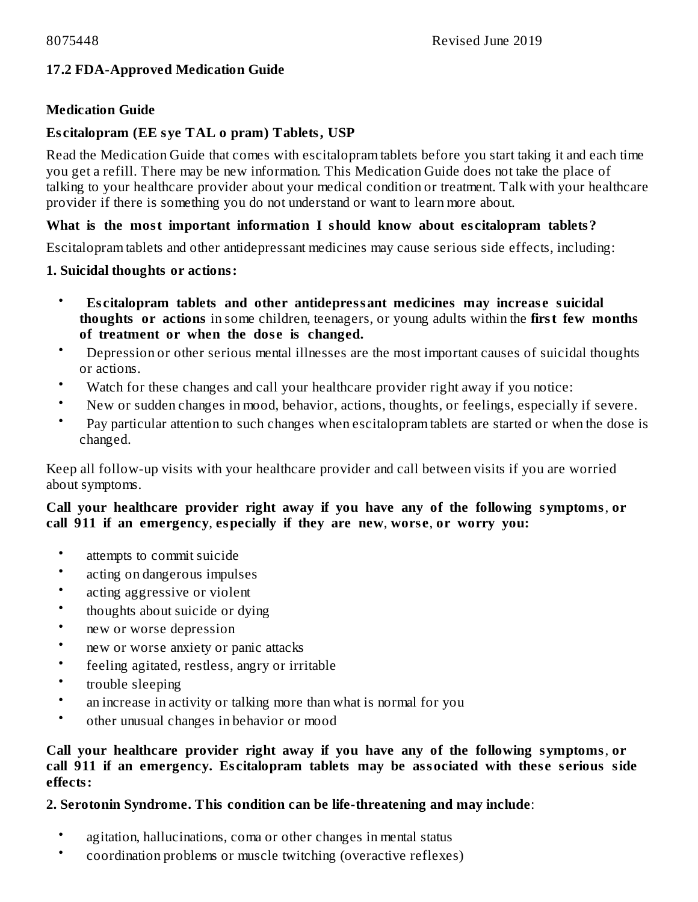# **17.2 FDA-Approved Medication Guide**

#### **Medication Guide**

#### **Es citalopram (EE sye TAL o pram) Tablets, USP**

Read the Medication Guide that comes with escitalopram tablets before you start taking it and each time you get a refill. There may be new information. This Medication Guide does not take the place of talking to your healthcare provider about your medical condition or treatment. Talk with your healthcare provider if there is something you do not understand or want to learn more about.

### **What is the most important information I should know about es citalopram tablets?**

Escitalopram tablets and other antidepressant medicines may cause serious side effects, including:

### **1. Suicidal thoughts or actions:**

- **Es citalopram tablets and other antidepressant medicines may increas e suicidal thoughts or actions** in some children, teenagers, or young adults within the **first few months of treatment or when the dos e is changed.**
- Depression or other serious mental illnesses are the most important causes of suicidal thoughts or actions.
- Watch for these changes and call your healthcare provider right away if you notice:
- New or sudden changes in mood, behavior, actions, thoughts, or feelings, especially if severe.
- Pay particular attention to such changes when escitalopram tablets are started or when the dose is changed.

Keep all follow-up visits with your healthcare provider and call between visits if you are worried about symptoms.

#### **Call your healthcare provider right away if you have any of the following symptoms**, **or call 911 if an emergency**, **especially if they are new**, **wors e**, **or worry you:**

- attempts to commit suicide
- acting on dangerous impulses
- acting aggressive or violent
- thoughts about suicide or dying
- new or worse depression
- new or worse anxiety or panic attacks
- feeling agitated, restless, angry or irritable
- trouble sleeping
- an increase in activity or talking more than what is normal for you
- other unusual changes in behavior or mood

**Call your healthcare provider right away if you have any of the following symptoms**, **or call 911 if an emergency. Es citalopram tablets may be associated with thes e s erious side effects:**

#### **2. Serotonin Syndrome. This condition can be life-threatening and may include**:

- agitation, hallucinations, coma or other changes in mental status
- coordination problems or muscle twitching (overactive reflexes)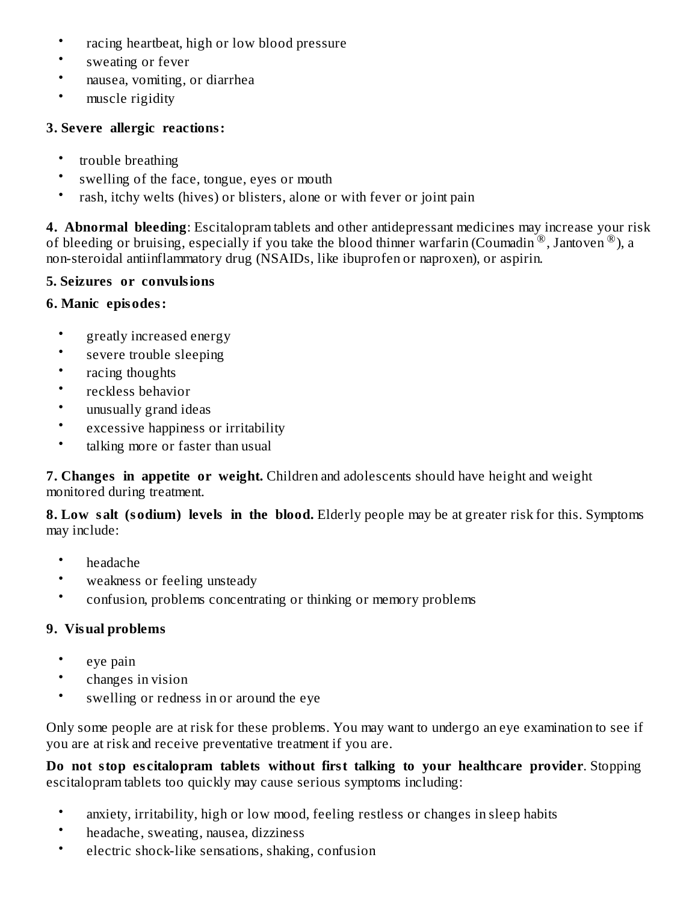- racing heartbeat, high or low blood pressure
- sweating or fever
- nausea, vomiting, or diarrhea
- muscle rigidity

# **3. Severe allergic reactions:**

- trouble breathing
- swelling of the face, tongue, eyes or mouth
- rash, itchy welts (hives) or blisters, alone or with fever or joint pain

**4. Abnormal bleeding**: Escitalopram tablets and other antidepressant medicines may increase your risk of bleeding or bruising, especially if you take the blood thinner warfarin (Coumadin  $^{\circledR}$ , Jantoven  $^{\circledR}$ ), a non-steroidal antiinflammatory drug (NSAIDs, like ibuprofen or naproxen), or aspirin.

# **5. Seizures or convulsions**

# **6. Manic episodes:**

- greatly increased energy
- severe trouble sleeping
- racing thoughts
- reckless behavior
- unusually grand ideas
- excessive happiness or irritability
- talking more or faster than usual

**7. Changes in appetite or weight.** Children and adolescents should have height and weight monitored during treatment.

**8. Low salt (sodium) levels in the blood.** Elderly people may be at greater risk for this. Symptoms may include:

- headache
- weakness or feeling unsteady
- confusion, problems concentrating or thinking or memory problems

# **9. Visual problems**

- eye pain
- changes in vision
- swelling or redness in or around the eye

Only some people are at risk for these problems. You may want to undergo an eye examination to see if you are at risk and receive preventative treatment if you are.

**Do not stop es citalopram tablets without first talking to your healthcare provider**. Stopping escitalopram tablets too quickly may cause serious symptoms including:

- anxiety, irritability, high or low mood, feeling restless or changes in sleep habits
- headache, sweating, nausea, dizziness
- electric shock-like sensations, shaking, confusion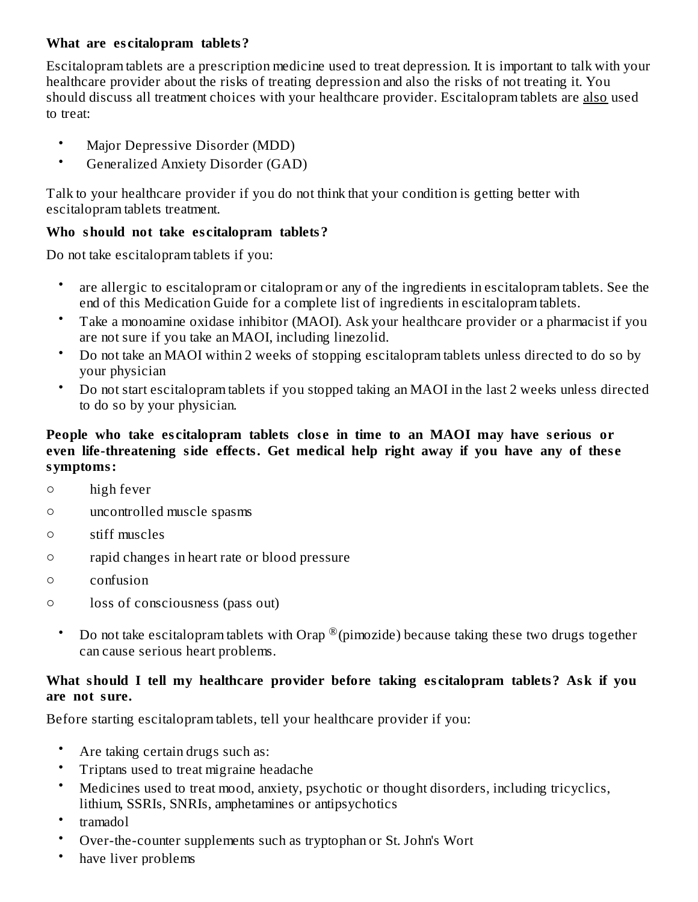#### **What are es citalopram tablets?**

Escitalopram tablets are a prescription medicine used to treat depression. It is important to talk with your healthcare provider about the risks of treating depression and also the risks of not treating it. You should discuss all treatment choices with your healthcare provider. Escitalopram tablets are also used to treat:

- Major Depressive Disorder (MDD)
- Generalized Anxiety Disorder (GAD)

Talk to your healthcare provider if you do not think that your condition is getting better with escitalopram tablets treatment.

### **Who should not take es citalopram tablets?**

Do not take escitalopram tablets if you:

- are allergic to escitalopram or citalopram or any of the ingredients in escitalopram tablets. See the end of this Medication Guide for a complete list of ingredients in escitalopram tablets.
- Take a monoamine oxidase inhibitor (MAOI). Ask your healthcare provider or a pharmacist if you are not sure if you take an MAOI, including linezolid.
- Do not take an MAOI within 2 weeks of stopping escitalopram tablets unless directed to do so by your physician
- Do not start escitalopram tablets if you stopped taking an MAOI in the last 2 weeks unless directed to do so by your physician.

#### **People who take es citalopram tablets clos e in time to an MAOI may have s erious or even life-threatening side effects. Get medical help right away if you have any of thes e symptoms:**

- high fever
- uncontrolled muscle spasms
- stiff muscles
- rapid changes in heart rate or blood pressure
- confusion
- loss of consciousness (pass out)
	- Do not take escitalopram tablets with Orap  $^\circledR$  (pimozide) because taking these two drugs together can cause serious heart problems.

#### **What should I tell my healthcare provider before taking es citalopram tablets? Ask if you are not sure.**

Before starting escitalopram tablets, tell your healthcare provider if you:

- Are taking certain drugs such as:
- Triptans used to treat migraine headache
- Medicines used to treat mood, anxiety, psychotic or thought disorders, including tricyclics, lithium, SSRIs, SNRIs, amphetamines or antipsychotics
- tramadol
- Over-the-counter supplements such as tryptophan or St. John's Wort
- have liver problems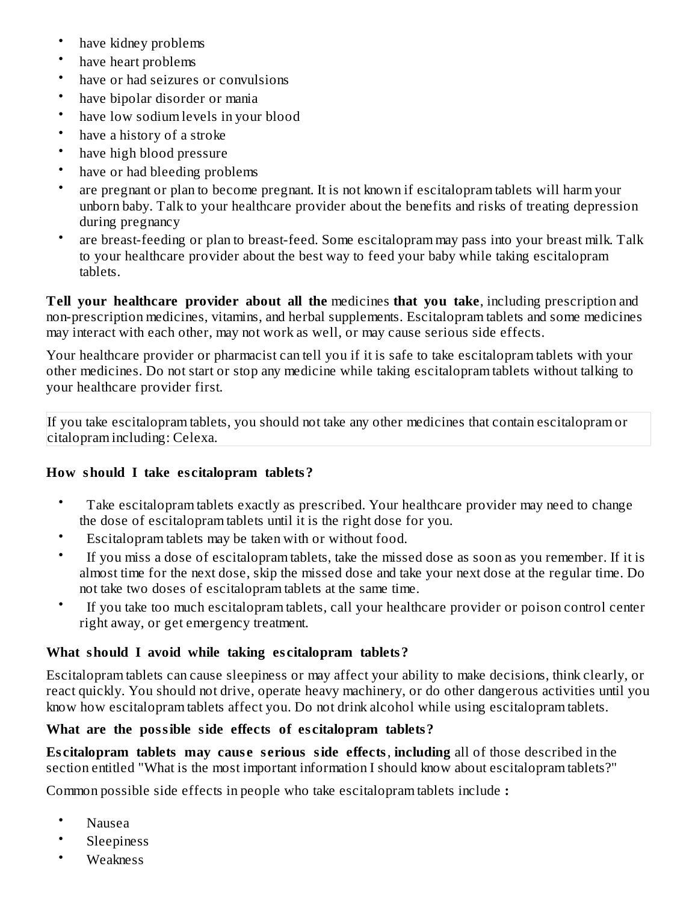- have kidney problems
- have heart problems
- have or had seizures or convulsions
- have bipolar disorder or mania
- have low sodium levels in your blood
- have a history of a stroke
- have high blood pressure
- have or had bleeding problems
- are pregnant or plan to become pregnant. It is not known if escitalopram tablets will harm your unborn baby. Talk to your healthcare provider about the benefits and risks of treating depression during pregnancy
- are breast-feeding or plan to breast-feed. Some escitalopram may pass into your breast milk. Talk to your healthcare provider about the best way to feed your baby while taking escitalopram tablets.

**Tell your healthcare provider about all the** medicines **that you take**, including prescription and non-prescription medicines, vitamins, and herbal supplements. Escitalopram tablets and some medicines may interact with each other, may not work as well, or may cause serious side effects.

Your healthcare provider or pharmacist can tell you if it is safe to take escitalopram tablets with your other medicines. Do not start or stop any medicine while taking escitalopram tablets without talking to your healthcare provider first.

If you take escitalopram tablets, you should not take any other medicines that contain escitalopram or citalopram including: Celexa.

# **How should I take es citalopram tablets?**

- Take escitalopram tablets exactly as prescribed. Your healthcare provider may need to change the dose of escitalopram tablets until it is the right dose for you.
- Escitalopram tablets may be taken with or without food.
- If you miss a dose of escitalopram tablets, take the missed dose as soon as you remember. If it is almost time for the next dose, skip the missed dose and take your next dose at the regular time. Do not take two doses of escitalopram tablets at the same time.
- If you take too much escitalopram tablets, call your healthcare provider or poison control center right away, or get emergency treatment.

# **What should I avoid while taking es citalopram tablets?**

Escitalopram tablets can cause sleepiness or may affect your ability to make decisions, think clearly, or react quickly. You should not drive, operate heavy machinery, or do other dangerous activities until you know how escitalopram tablets affect you. Do not drink alcohol while using escitalopram tablets.

# **What are the possible side effects of es citalopram tablets?**

**Es citalopram tablets may caus e s erious side effects**, **including** all of those described in the section entitled "What is the most important information I should know about escitalopram tablets?"

Common possible side effects in people who take escitalopram tablets include **:**

- Nausea
- Sleepiness
- Weakness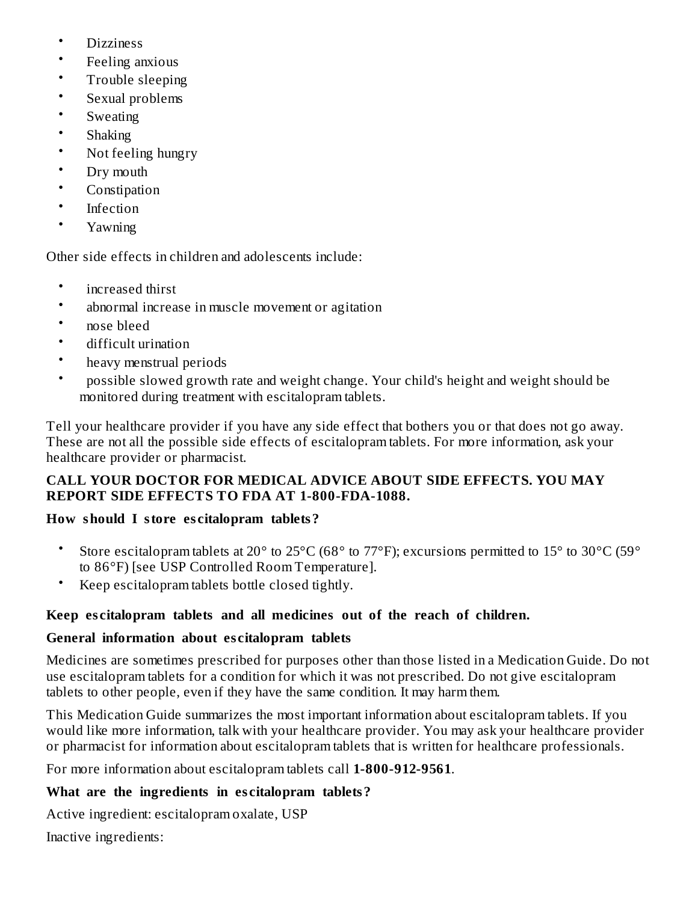- Dizziness
- Feeling anxious
- Trouble sleeping
- Sexual problems
- **Sweating**
- Shaking
- Not feeling hungry
- Dry mouth
- Constipation
- Infection
- Yawning

Other side effects in children and adolescents include:

- increased thirst
- abnormal increase in muscle movement or agitation
- nose bleed
- difficult urination
- heavy menstrual periods
- possible slowed growth rate and weight change. Your child's height and weight should be monitored during treatment with escitalopram tablets.

Tell your healthcare provider if you have any side effect that bothers you or that does not go away. These are not all the possible side effects of escitalopram tablets. For more information, ask your healthcare provider or pharmacist.

### **CALL YOUR DOCTOR FOR MEDICAL ADVICE ABOUT SIDE EFFECTS. YOU MAY REPORT SIDE EFFECTS TO FDA AT 1-800-FDA-1088.**

# **How should I store es citalopram tablets?**

- Store escitalopram tablets at 20° to 25°C (68° to 77°F); excursions permitted to 15° to 30°C (59° to 86°F) [see USP Controlled Room Temperature].
- Keep escitalopram tablets bottle closed tightly.

# **Keep es citalopram tablets and all medicines out of the reach of children.**

# **General information about es citalopram tablets**

Medicines are sometimes prescribed for purposes other than those listed in a Medication Guide. Do not use escitalopram tablets for a condition for which it was not prescribed. Do not give escitalopram tablets to other people, even if they have the same condition. It may harm them.

This Medication Guide summarizes the most important information about escitalopram tablets. If you would like more information, talk with your healthcare provider. You may ask your healthcare provider or pharmacist for information about escitalopram tablets that is written for healthcare professionals.

For more information about escitalopram tablets call **1-800-912-9561**.

# **What are the ingredients in es citalopram tablets?**

Active ingredient: escitalopram oxalate, USP

Inactive ingredients: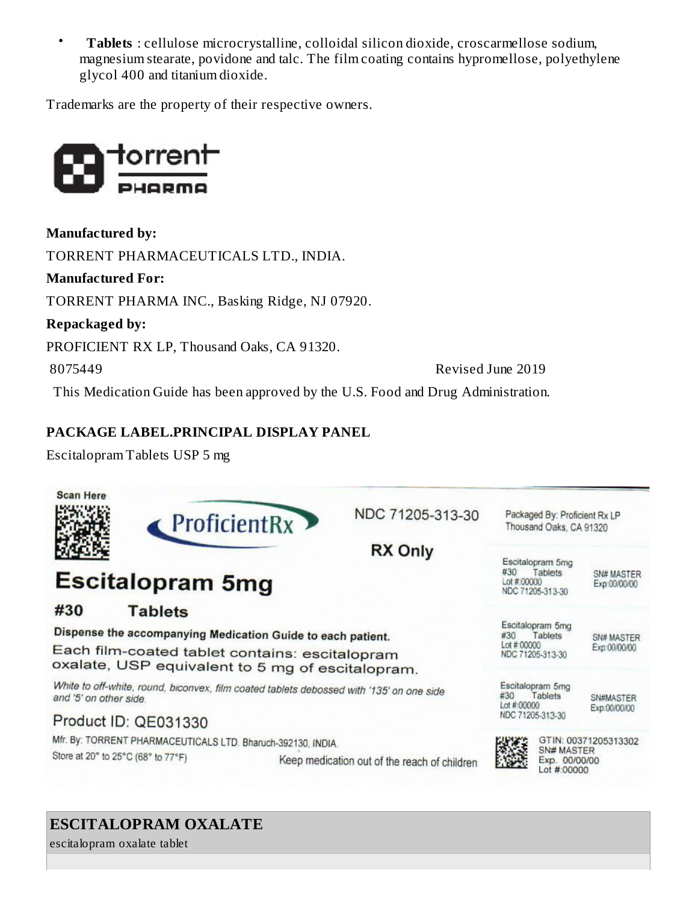• **Tablets** : cellulose microcrystalline, colloidal silicon dioxide, croscarmellose sodium, magnesium stearate, povidone and talc. The film coating contains hypromellose, polyethylene glycol 400 and titanium dioxide.

Trademarks are the property of their respective owners.



**Manufactured by:**

TORRENT PHARMACEUTICALS LTD., INDIA.

#### **Manufactured For:**

TORRENT PHARMA INC., Basking Ridge, NJ 07920.

#### **Repackaged by:**

PROFICIENT RX LP, Thousand Oaks, CA 91320.

8075449 Revised June 2019

This Medication Guide has been approved by the U.S. Food and Drug Administration.

#### **PACKAGE LABEL.PRINCIPAL DISPLAY PANEL**

Escitalopram Tablets USP 5 mg

| <b>Scan Here</b><br>NDC 71205-313-30<br>$\triangle$ ProficientRx                                                                                                                           |                |                    | Packaged By: Proficient Rx LP<br>Thousand Oaks, CA 91320                                           |                            |  |
|--------------------------------------------------------------------------------------------------------------------------------------------------------------------------------------------|----------------|--------------------|----------------------------------------------------------------------------------------------------|----------------------------|--|
| <b>Escitalopram 5mg</b>                                                                                                                                                                    | <b>RX Only</b> | #30<br>Lot #:00000 | Escitalopram 5mg<br>Tablets<br>NDC 71205-313-30                                                    | SN# MASTER<br>Exp:00/00/00 |  |
| #30<br><b>Tablets</b><br>Dispense the accompanying Medication Guide to each patient.<br>Each film-coated tablet contains: escitalopram<br>oxalate, USP equivalent to 5 mg of escitalopram. |                |                    | Escitalopram 5mg<br>Tablets<br>#30<br>Lot #:00000<br>NDC 71205-313-30                              |                            |  |
| White to off-white, round, biconvex, film coated tablets debossed with '135' on one side<br>and '5' on other side.<br>Product ID: QE031330                                                 |                |                    | Escitalopram 5mg<br>Tablets<br>#30<br>SN#MASTER<br>Lot #:00000<br>Exp:00/00/00<br>NDC 71205-313-30 |                            |  |
| Mfr. By: TORRENT PHARMACEUTICALS LTD. Bharuch-392130, INDIA.<br>Store at 20° to 25°C (68° to 77°F)<br>Keep medication out of the reach of children                                         |                |                    | GTIN: 00371205313302<br>SN# MASTER<br>Exp. 00/00/00<br>Lot #:00000                                 |                            |  |

# **ESCITALOPRAM OXALATE**

escitalopram oxalate tablet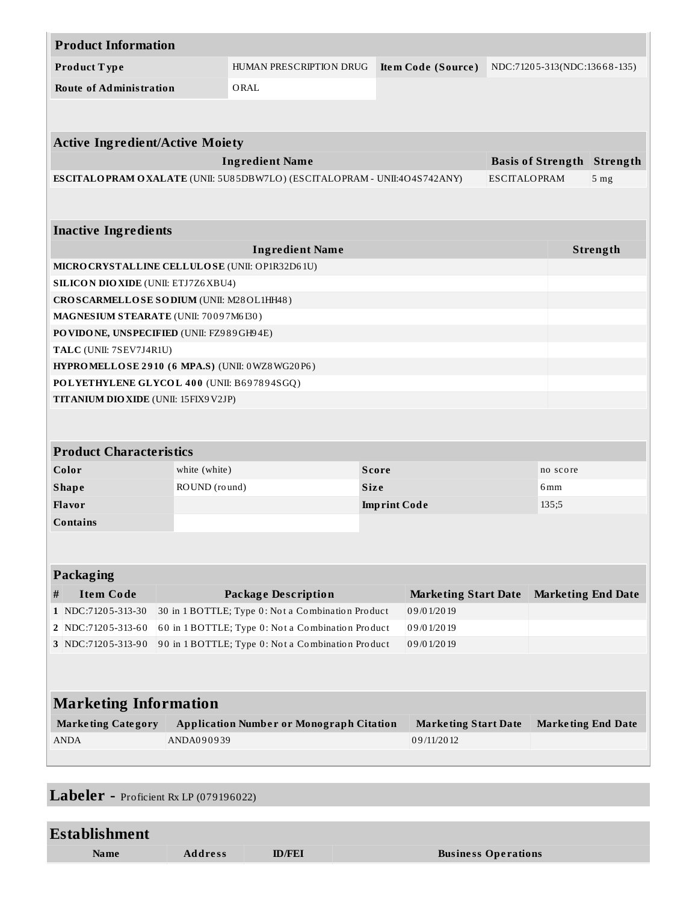| <b>Product Information</b>                      |               |                                                                              |                     |                             |                                        |                           |          |  |  |  |  |
|-------------------------------------------------|---------------|------------------------------------------------------------------------------|---------------------|-----------------------------|----------------------------------------|---------------------------|----------|--|--|--|--|
| Product Type                                    |               | HUMAN PRESCRIPTION DRUG                                                      |                     | Item Code (Source)          | NDC:71205-313(NDC:13668-135)           |                           |          |  |  |  |  |
| <b>Route of Administration</b>                  |               | ORAL                                                                         |                     |                             |                                        |                           |          |  |  |  |  |
|                                                 |               |                                                                              |                     |                             |                                        |                           |          |  |  |  |  |
|                                                 |               |                                                                              |                     |                             |                                        |                           |          |  |  |  |  |
| <b>Active Ingredient/Active Moiety</b>          |               |                                                                              |                     |                             |                                        |                           |          |  |  |  |  |
| <b>Ingredient Name</b>                          |               |                                                                              |                     |                             | <b>Basis of Strength Strength</b>      |                           |          |  |  |  |  |
|                                                 |               | ESCITALO PRAM O XALATE (UNII: 5U85DBW7LO) (ESCITALO PRAM - UNII:4O 4S742ANY) |                     |                             | <b>ESCITALOPRAM</b><br>5 <sub>mg</sub> |                           |          |  |  |  |  |
|                                                 |               |                                                                              |                     |                             |                                        |                           |          |  |  |  |  |
| <b>Inactive Ingredients</b>                     |               |                                                                              |                     |                             |                                        |                           |          |  |  |  |  |
|                                                 |               | <b>Ingredient Name</b>                                                       |                     |                             |                                        |                           | Strength |  |  |  |  |
| MICRO CRYSTALLINE CELLULO SE (UNII: OP1R32D61U) |               |                                                                              |                     |                             |                                        |                           |          |  |  |  |  |
| <b>SILICON DIO XIDE (UNII: ETJ7Z6 XBU4)</b>     |               |                                                                              |                     |                             |                                        |                           |          |  |  |  |  |
| CROSCARMELLOSE SODIUM (UNII: M28OL1HH48)        |               |                                                                              |                     |                             |                                        |                           |          |  |  |  |  |
| MAGNESIUM STEARATE (UNII: 70097M6I30)           |               |                                                                              |                     |                             |                                        |                           |          |  |  |  |  |
| PO VIDONE, UNSPECIFIED (UNII: FZ989GH94E)       |               |                                                                              |                     |                             |                                        |                           |          |  |  |  |  |
| TALC (UNII: 7SEV7J4R1U)                         |               |                                                                              |                     |                             |                                        |                           |          |  |  |  |  |
| HYPROMELLOSE 2910 (6 MPA.S) (UNII: 0WZ8WG20P6)  |               |                                                                              |                     |                             |                                        |                           |          |  |  |  |  |
| POLYETHYLENE GLYCOL 400 (UNII: B697894SGQ)      |               |                                                                              |                     |                             |                                        |                           |          |  |  |  |  |
| TITANIUM DIO XIDE (UNII: 15FIX9V2JP)            |               |                                                                              |                     |                             |                                        |                           |          |  |  |  |  |
|                                                 |               |                                                                              |                     |                             |                                        |                           |          |  |  |  |  |
|                                                 |               |                                                                              |                     |                             |                                        |                           |          |  |  |  |  |
| <b>Product Characteristics</b>                  |               |                                                                              |                     |                             |                                        |                           |          |  |  |  |  |
| Color                                           | white (white) |                                                                              | <b>Score</b>        |                             |                                        | no score                  |          |  |  |  |  |
| <b>Shape</b>                                    | ROUND (round) |                                                                              | <b>Size</b>         |                             |                                        | 6mm                       |          |  |  |  |  |
| Flavor                                          |               |                                                                              | <b>Imprint Code</b> |                             |                                        | 135;5                     |          |  |  |  |  |
| <b>Contains</b>                                 |               |                                                                              |                     |                             |                                        |                           |          |  |  |  |  |
|                                                 |               |                                                                              |                     |                             |                                        |                           |          |  |  |  |  |
|                                                 |               |                                                                              |                     |                             |                                        |                           |          |  |  |  |  |
| <b>Packaging</b>                                |               |                                                                              |                     |                             |                                        |                           |          |  |  |  |  |
| <b>Item Code</b><br>#                           |               | <b>Package Description</b>                                                   |                     | <b>Marketing Start Date</b> |                                        | <b>Marketing End Date</b> |          |  |  |  |  |
| 1 NDC:71205-313-30                              |               | 30 in 1 BOTTLE; Type 0: Not a Combination Product                            |                     | 09/01/2019                  |                                        |                           |          |  |  |  |  |
| 2 NDC:71205-313-60                              |               | 60 in 1 BOTTLE; Type 0: Not a Combination Product                            |                     | 09/01/2019                  |                                        |                           |          |  |  |  |  |
| 3 NDC:71205-313-90                              |               | 90 in 1 BOTTLE; Type 0: Not a Combination Product                            |                     | 09/01/2019                  |                                        |                           |          |  |  |  |  |
|                                                 |               |                                                                              |                     |                             |                                        |                           |          |  |  |  |  |
|                                                 |               |                                                                              |                     |                             |                                        |                           |          |  |  |  |  |
| <b>Marketing Information</b>                    |               |                                                                              |                     |                             |                                        |                           |          |  |  |  |  |
| <b>Marketing Category</b>                       |               | <b>Application Number or Monograph Citation</b>                              |                     | <b>Marketing Start Date</b> |                                        | <b>Marketing End Date</b> |          |  |  |  |  |
| <b>ANDA</b>                                     | ANDA090939    |                                                                              |                     | 09/11/2012                  |                                        |                           |          |  |  |  |  |
|                                                 |               |                                                                              |                     |                             |                                        |                           |          |  |  |  |  |
|                                                 |               |                                                                              |                     |                             |                                        |                           |          |  |  |  |  |

**Labeler -** Proficient Rx LP (079196022)

# **Establishment Name Address ID/FEI Business Operations**